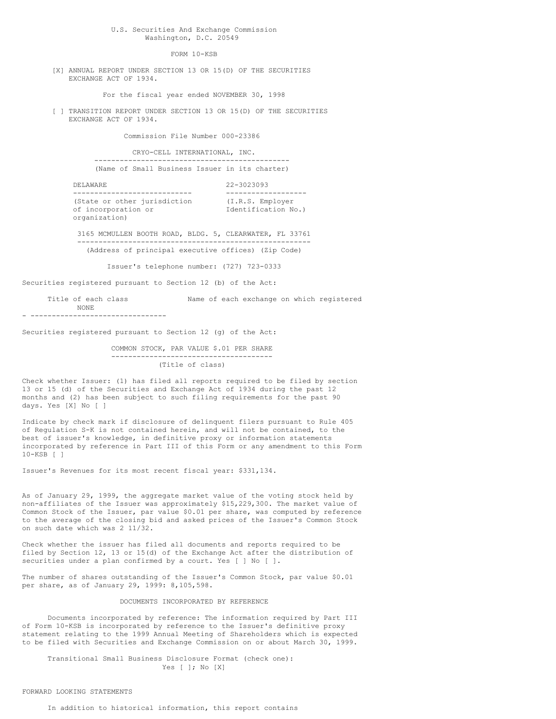U.S. Securities And Exchange Commission Washington, D.C. 20549

FORM 10-KSB

[X] ANNUAL REPORT UNDER SECTION 13 OR 15(D) OF THE SECURITIES EXCHANGE ACT OF 1934.

For the fiscal year ended NOVEMBER 30, 1998

[ ] TRANSITION REPORT UNDER SECTION 13 OR 15(D) OF THE SECURITIES EXCHANGE ACT OF 1934.

Commission File Number 000-23386

CRYO-CELL INTERNATIONAL, INC. ---------------------------------------------- (Name of Small Business Issuer in its charter)

DELAWARE 22-3023093 ---------------------------- ------------------- (State or other jurisdiction (I.R.S. Employer of incorporation or Identification No.) organization)

3165 MCMULLEN BOOTH ROAD, BLDG. 5, CLEARWATER, FL 33761 ------------------------------------------------------- (Address of principal executive offices) (Zip Code)

Issuer's telephone number: (727) 723-0333

Securities registered pursuant to Section 12 (b) of the Act:

Title of each class Name of each exchange on which registered NONE - --------------------------------

Securities registered pursuant to Section 12 (g) of the Act:

COMMON STOCK, PAR VALUE \$.01 PER SHARE -------------------------------------- (Title of class)

Check whether Issuer: (1) has filed all reports required to be filed by section 13 or 15 (d) of the Securities and Exchange Act of 1934 during the past 12 months and (2) has been subject to such filing requirements for the past 90 days. Yes [X] No [ ]

Indicate by check mark if disclosure of delinquent filers pursuant to Rule 405 of Regulation S-K is not contained herein, and will not be contained, to the best of issuer's knowledge, in definitive proxy or information statements incorporated by reference in Part III of this Form or any amendment to this Form 10-KSB [ ]

Issuer's Revenues for its most recent fiscal year: \$331,134.

As of January 29, 1999, the aggregate market value of the voting stock held by non-affiliates of the Issuer was approximately \$15,229,300. The market value of Common Stock of the Issuer, par value \$0.01 per share, was computed by reference to the average of the closing bid and asked prices of the Issuer's Common Stock on such date which was 2 11/32.

Check whether the issuer has filed all documents and reports required to be filed by Section 12, 13 or 15(d) of the Exchange Act after the distribution of securities under a plan confirmed by a court. Yes [ ] No [ ].

The number of shares outstanding of the Issuer's Common Stock, par value \$0.01 per share, as of January 29, 1999: 8,105,598.

## DOCUMENTS INCORPORATED BY REFERENCE

Documents incorporated by reference: The information required by Part III of Form 10-KSB is incorporated by reference to the Issuer's definitive proxy statement relating to the 1999 Annual Meeting of Shareholders which is expected to be filed with Securities and Exchange Commission on or about March 30, 1999.

Transitional Small Business Disclosure Format (check one): Yes [ ]; No [X]

## FORWARD LOOKING STATEMENTS

In addition to historical information, this report contains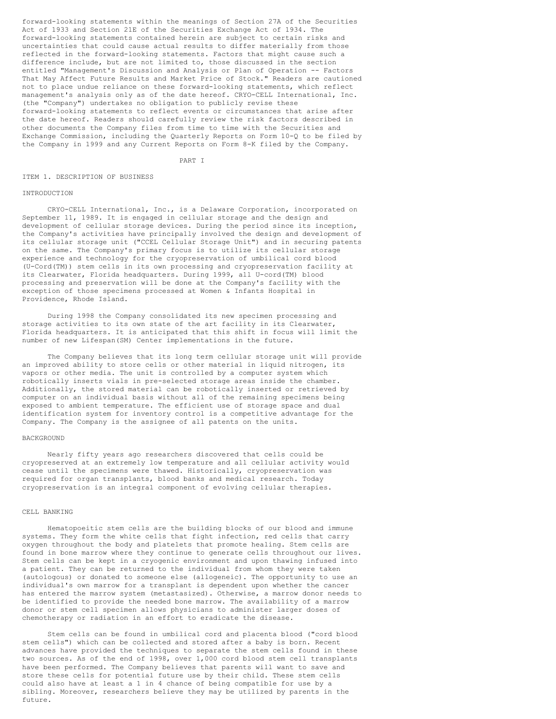forward-looking statements within the meanings of Section 27A of the Securities Act of 1933 and Section 21E of the Securities Exchange Act of 1934. The forward-looking statements contained herein are subject to certain risks and uncertainties that could cause actual results to differ materially from those reflected in the forward-looking statements. Factors that might cause such a difference include, but are not limited to, those discussed in the section entitled "Management's Discussion and Analysis or Plan of Operation -- Factors That May Affect Future Results and Market Price of Stock." Readers are cautioned not to place undue reliance on these forward-looking statements, which reflect management's analysis only as of the date hereof. CRYO-CELL International, Inc. (the "Company") undertakes no obligation to publicly revise these forward-looking statements to reflect events or circumstances that arise after the date hereof. Readers should carefully review the risk factors described in other documents the Company files from time to time with the Securities and Exchange Commission, including the Quarterly Reports on Form 10-Q to be filed by the Company in 1999 and any Current Reports on Form 8-K filed by the Company.

PART I

#### ITEM 1. DESCRIPTION OF BUSINESS

#### INTRODUCTION

CRYO-CELL International, Inc., is a Delaware Corporation, incorporated on September 11, 1989. It is engaged in cellular storage and the design and development of cellular storage devices. During the period since its inception, the Company's activities have principally involved the design and development of its cellular storage unit ("CCEL Cellular Storage Unit") and in securing patents on the same. The Company's primary focus is to utilize its cellular storage experience and technology for the cryopreservation of umbilical cord blood (U-Cord(TM)) stem cells in its own processing and cryopreservation facility at its Clearwater, Florida headquarters. During 1999, all U-cord(TM) blood processing and preservation will be done at the Company's facility with the exception of those specimens processed at Women & Infants Hospital in Providence, Rhode Island.

During 1998 the Company consolidated its new specimen processing and storage activities to its own state of the art facility in its Clearwater, Florida headquarters. It is anticipated that this shift in focus will limit the number of new Lifespan(SM) Center implementations in the future.

The Company believes that its long term cellular storage unit will provide an improved ability to store cells or other material in liquid nitrogen, its vapors or other media. The unit is controlled by a computer system which robotically inserts vials in pre-selected storage areas inside the chamber. Additionally, the stored material can be robotically inserted or retrieved by computer on an individual basis without all of the remaining specimens being exposed to ambient temperature. The efficient use of storage space and dual identification system for inventory control is a competitive advantage for the Company. The Company is the assignee of all patents on the units.

## BACKGROUND

Nearly fifty years ago researchers discovered that cells could be cryopreserved at an extremely low temperature and all cellular activity would cease until the specimens were thawed. Historically, cryopreservation was required for organ transplants, blood banks and medical research. Today cryopreservation is an integral component of evolving cellular therapies.

## CELL BANKING

Hematopoeitic stem cells are the building blocks of our blood and immune systems. They form the white cells that fight infection, red cells that carry oxygen throughout the body and platelets that promote healing. Stem cells are found in bone marrow where they continue to generate cells throughout our lives. Stem cells can be kept in a cryogenic environment and upon thawing infused into a patient. They can be returned to the individual from whom they were taken (autologous) or donated to someone else (allogeneic). The opportunity to use an individual's own marrow for a transplant is dependent upon whether the cancer has entered the marrow system (metastasized). Otherwise, a marrow donor needs to be identified to provide the needed bone marrow. The availability of a marrow donor or stem cell specimen allows physicians to administer larger doses of chemotherapy or radiation in an effort to eradicate the disease.

Stem cells can be found in umbilical cord and placenta blood ("cord blood stem cells") which can be collected and stored after a baby is born. Recent advances have provided the techniques to separate the stem cells found in these two sources. As of the end of 1998, over 1,000 cord blood stem cell transplants have been performed. The Company believes that parents will want to save and store these cells for potential future use by their child. These stem cells could also have at least a 1 in 4 chance of being compatible for use by a sibling. Moreover, researchers believe they may be utilized by parents in the future.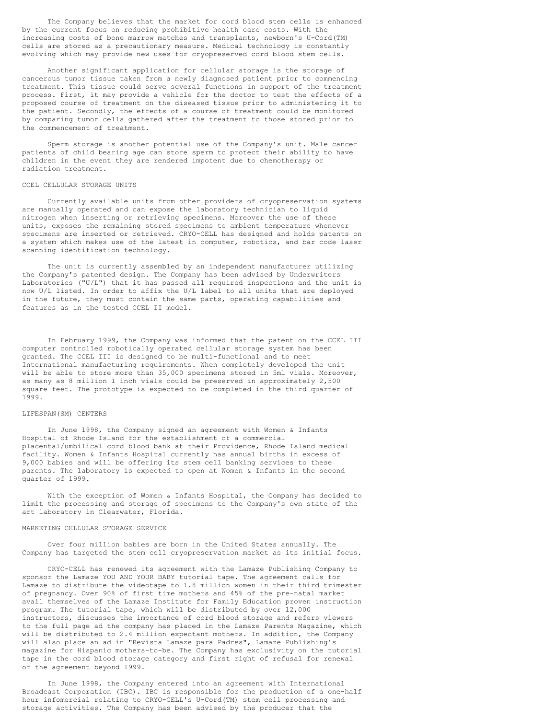The Company believes that the market for cord blood stem cells is enhanced by the current focus on reducing prohibitive health care costs. With the increasing costs of bone marrow matches and transplants, newborn's U-Cord(TM) cells are stored as a precautionary measure. Medical technology is constantly evolving which may provide new uses for cryopreserved cord blood stem cells.

Another significant application for cellular storage is the storage of cancerous tumor tissue taken from a newly diagnosed patient prior to commencing treatment. This tissue could serve several functions in support of the treatment process. First, it may provide a vehicle for the doctor to test the effects of a proposed course of treatment on the diseased tissue prior to administering it to the patient. Secondly, the effects of a course of treatment could be monitored by comparing tumor cells gathered after the treatment to those stored prior to the commencement of treatment.

Sperm storage is another potential use of the Company's unit. Male cancer patients of child bearing age can store sperm to protect their ability to have children in the event they are rendered impotent due to chemotherapy or radiation treatment.

#### CCEL CELLULAR STORAGE UNITS

Currently available units from other providers of cryopreservation systems are manually operated and can expose the laboratory technician to liquid nitrogen when inserting or retrieving specimens. Moreover the use of these units, exposes the remaining stored specimens to ambient temperature whenever specimens are inserted or retrieved. CRYO-CELL has designed and holds patents on a system which makes use of the latest in computer, robotics, and bar code laser scanning identification technology.

The unit is currently assembled by an independent manufacturer utilizing the Company's patented design. The Company has been advised by Underwriters Laboratories ("U/L") that it has passed all required inspections and the unit is now U/L listed. In order to affix the U/L label to all units that are deployed in the future, they must contain the same parts, operating capabilities and features as in the tested CCEL II model.

In February 1999, the Company was informed that the patent on the CCEL III computer controlled robotically operated cellular storage system has been granted. The CCEL III is designed to be multi-functional and to meet International manufacturing requirements. When completely developed the unit will be able to store more than 35,000 specimens stored in 5ml vials. Moreover, as many as 8 million 1 inch vials could be preserved in approximately 2,500 square feet. The prototype is expected to be completed in the third quarter of 1999.

## LIFESPAN(SM) CENTERS

In June 1998, the Company signed an agreement with Women & Infants Hospital of Rhode Island for the establishment of a commercial placental/umbilical cord blood bank at their Providence, Rhode Island medical facility. Women & Infants Hospital currently has annual births in excess of 9,000 babies and will be offering its stem cell banking services to these parents. The laboratory is expected to open at Women & Infants in the second quarter of 1999.

With the exception of Women & Infants Hospital, the Company has decided to limit the processing and storage of specimens to the Company's own state of the art laboratory in Clearwater, Florida.

## MARKETING CELLULAR STORAGE SERVICE

Over four million babies are born in the United States annually. The Company has targeted the stem cell cryopreservation market as its initial focus.

CRYO-CELL has renewed its agreement with the Lamaze Publishing Company to sponsor the Lamaze YOU AND YOUR BABY tutorial tape. The agreement calls for Lamaze to distribute the videotape to 1.8 million women in their third trimester of pregnancy. Over 90% of first time mothers and 45% of the pre-natal market avail themselves of the Lamaze Institute for Family Education proven instruction program. The tutorial tape, which will be distributed by over 12,000 instructors, discusses the importance of cord blood storage and refers viewers to the full page ad the company has placed in the Lamaze Parents Magazine, which will be distributed to 2.4 million expectant mothers. In addition, the Company will also place an ad in "Revista Lamaze para Padres", Lamaze Publishing's magazine for Hispanic mothers-to-be. The Company has exclusivity on the tutorial tape in the cord blood storage category and first right of refusal for renewal of the agreement beyond 1999.

In June 1998, the Company entered into an agreement with International Broadcast Corporation (IBC). IBC is responsible for the production of a one-half hour infomercial relating to CRYO-CELL's U-Cord(TM) stem cell processing and storage activities. The Company has been advised by the producer that the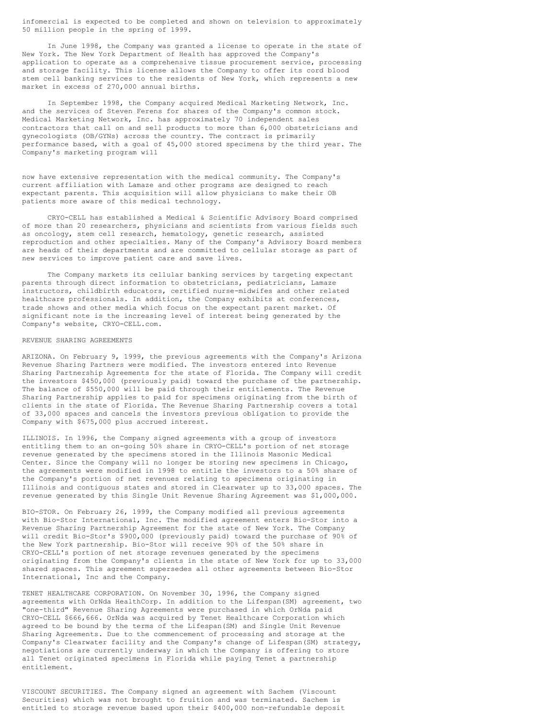infomercial is expected to be completed and shown on television to approximately 50 million people in the spring of 1999.

In June 1998, the Company was granted a license to operate in the state of New York. The New York Department of Health has approved the Company's application to operate as a comprehensive tissue procurement service, processing and storage facility. This license allows the Company to offer its cord blood stem cell banking services to the residents of New York, which represents a new market in excess of 270,000 annual births.

In September 1998, the Company acquired Medical Marketing Network, Inc. and the services of Steven Ferens for shares of the Company's common stock. Medical Marketing Network, Inc. has approximately 70 independent sales contractors that call on and sell products to more than 6,000 obstetricians and gynecologists (OB/GYNs) across the country. The contract is primarily performance based, with a goal of 45,000 stored specimens by the third year. The Company's marketing program will

now have extensive representation with the medical community. The Company's current affiliation with Lamaze and other programs are designed to reach expectant parents. This acquisition will allow physicians to make their OB patients more aware of this medical technology.

CRYO-CELL has established a Medical & Scientific Advisory Board comprised of more than 20 researchers, physicians and scientists from various fields such as oncology, stem cell research, hematology, genetic research, assisted reproduction and other specialties. Many of the Company's Advisory Board members are heads of their departments and are committed to cellular storage as part of new services to improve patient care and save lives.

The Company markets its cellular banking services by targeting expectant parents through direct information to obstetricians, pediatricians, Lamaze instructors, childbirth educators, certified nurse-midwifes and other related healthcare professionals. In addition, the Company exhibits at conferences, trade shows and other media which focus on the expectant parent market. Of significant note is the increasing level of interest being generated by the Company's website, CRYO-CELL.com.

## REVENUE SHARING AGREEMENTS

ARIZONA. On February 9, 1999, the previous agreements with the Company's Arizona Revenue Sharing Partners were modified. The investors entered into Revenue Sharing Partnership Agreements for the state of Florida. The Company will credit the investors \$450,000 (previously paid) toward the purchase of the partnership. The balance of \$550,000 will be paid through their entitlements. The Revenue Sharing Partnership applies to paid for specimens originating from the birth of clients in the state of Florida. The Revenue Sharing Partnership covers a total of 33,000 spaces and cancels the investors previous obligation to provide the Company with \$675,000 plus accrued interest.

ILLINOIS. In 1996, the Company signed agreements with a group of investors entitling them to an on-going 50% share in CRYO-CELL's portion of net storage revenue generated by the specimens stored in the Illinois Masonic Medical Center. Since the Company will no longer be storing new specimens in Chicago, the agreements were modified in 1998 to entitle the investors to a 50% share of the Company's portion of net revenues relating to specimens originating in Illinois and contiguous states and stored in Clearwater up to 33,000 spaces. The revenue generated by this Single Unit Revenue Sharing Agreement was \$1,000,000.

BIO-STOR. On February 26, 1999, the Company modified all previous agreements with Bio-Stor International, Inc. The modified agreement enters Bio-Stor into a Revenue Sharing Partnership Agreement for the state of New York. The Company will credit Bio-Stor's \$900,000 (previously paid) toward the purchase of 90% of the New York partnership. Bio-Stor will receive 90% of the 50% share in CRYO-CELL's portion of net storage revenues generated by the specimens originating from the Company's clients in the state of New York for up to 33,000 shared spaces. This agreement supersedes all other agreements between Bio-Stor International, Inc and the Company.

TENET HEALTHCARE CORPORATION. On November 30, 1996, the Company signed agreements with OrNda HealthCorp. In addition to the Lifespan(SM) agreement, two "one-third" Revenue Sharing Agreements were purchased in which OrNda paid CRYO-CELL \$666,666. OrNda was acquired by Tenet Healthcare Corporation which agreed to be bound by the terms of the Lifespan(SM) and Single Unit Revenue Sharing Agreements. Due to the commencement of processing and storage at the Company's Clearwater facility and the Company's change of Lifespan(SM) strategy, negotiations are currently underway in which the Company is offering to store all Tenet originated specimens in Florida while paying Tenet a partnership entitlement.

VISCOUNT SECURITIES. The Company signed an agreement with Sachem (Viscount Securities) which was not brought to fruition and was terminated. Sachem is entitled to storage revenue based upon their \$400,000 non-refundable deposit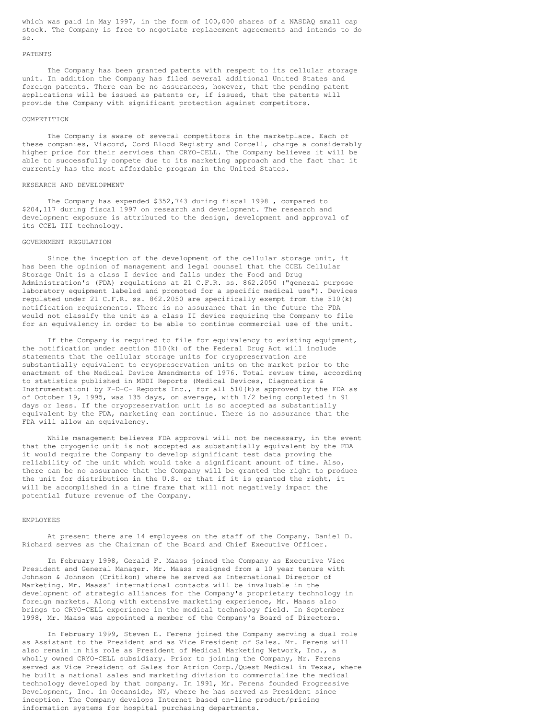which was paid in May 1997, in the form of 100,000 shares of a NASDAQ small cap stock. The Company is free to negotiate replacement agreements and intends to do so.

#### PATENTS

The Company has been granted patents with respect to its cellular storage unit. In addition the Company has filed several additional United States and foreign patents. There can be no assurances, however, that the pending patent applications will be issued as patents or, if issued, that the patents will provide the Company with significant protection against competitors.

## COMPETITION

The Company is aware of several competitors in the marketplace. Each of these companies, Viacord, Cord Blood Registry and Corcell, charge a considerably higher price for their services than CRYO-CELL. The Company believes it will be able to successfully compete due to its marketing approach and the fact that it currently has the most affordable program in the United States.

#### RESEARCH AND DEVELOPMENT

The Company has expended \$352,743 during fiscal 1998 , compared to \$204,117 during fiscal 1997 on research and development. The research and development exposure is attributed to the design, development and approval of its CCEL III technology.

#### GOVERNMENT REGULATION

Since the inception of the development of the cellular storage unit, it has been the opinion of management and legal counsel that the CCEL Cellular Storage Unit is a class I device and falls under the Food and Drug Administration's (FDA) regulations at 21 C.F.R. ss. 862.2050 ("general purpose laboratory equipment labeled and promoted for a specific medical use"). Devices regulated under 21 C.F.R. ss. 862.2050 are specifically exempt from the 510(k) notification requirements. There is no assurance that in the future the FDA would not classify the unit as a class II device requiring the Company to file for an equivalency in order to be able to continue commercial use of the unit.

If the Company is required to file for equivalency to existing equipment, the notification under section 510(k) of the Federal Drug Act will include statements that the cellular storage units for cryopreservation are substantially equivalent to cryopreservation units on the market prior to the enactment of the Medical Device Amendments of 1976. Total review time, according to statistics published in MDDI Reports (Medical Devices, Diagnostics & Instrumentation) by F-D-C- Reports Inc., for all 510(k)s approved by the FDA as of October 19, 1995, was 135 days, on average, with 1/2 being completed in 91 days or less. If the cryopreservation unit is so accepted as substantially equivalent by the FDA, marketing can continue. There is no assurance that the FDA will allow an equivalency.

While management believes FDA approval will not be necessary, in the event that the cryogenic unit is not accepted as substantially equivalent by the FDA it would require the Company to develop significant test data proving the reliability of the unit which would take a significant amount of time. Also, there can be no assurance that the Company will be granted the right to produce the unit for distribution in the U.S. or that if it is granted the right, it will be accomplished in a time frame that will not negatively impact the potential future revenue of the Company.

## EMPLOYEES

At present there are 14 employees on the staff of the Company. Daniel D. Richard serves as the Chairman of the Board and Chief Executive Officer.

In February 1998, Gerald F. Maass joined the Company as Executive Vice President and General Manager. Mr. Maass resigned from a 10 year tenure with Johnson & Johnson (Critikon) where he served as International Director of Marketing. Mr. Maass' international contacts will be invaluable in the development of strategic alliances for the Company's proprietary technology in foreign markets. Along with extensive marketing experience, Mr. Maass also brings to CRYO-CELL experience in the medical technology field. In September 1998, Mr. Maass was appointed a member of the Company's Board of Directors.

In February 1999, Steven E. Ferens joined the Company serving a dual role as Assistant to the President and as Vice President of Sales. Mr. Ferens will also remain in his role as President of Medical Marketing Network, Inc., a wholly owned CRYO-CELL subsidiary. Prior to joining the Company, Mr. Ferens served as Vice President of Sales for Atrion Corp./Quest Medical in Texas, where he built a national sales and marketing division to commercialize the medical technology developed by that company. In 1991, Mr. Ferens founded Progressive Development, Inc. in Oceanside, NY, where he has served as President since inception. The Company develops Internet based on-line product/pricing information systems for hospital purchasing departments.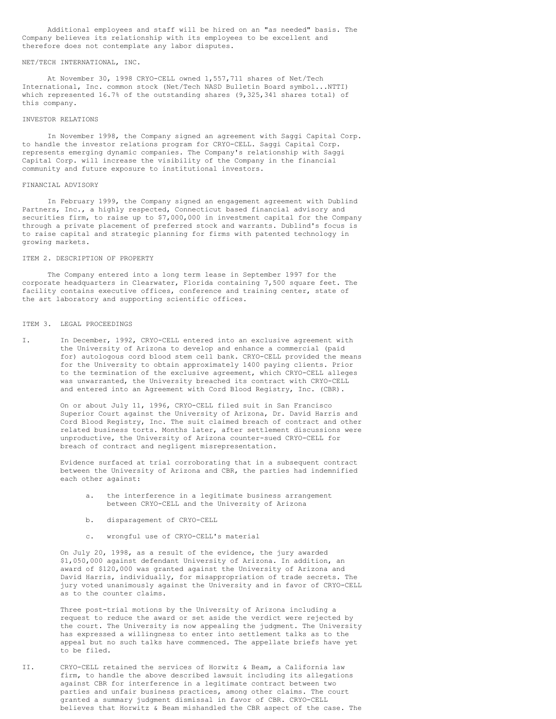Additional employees and staff will be hired on an "as needed" basis. The Company believes its relationship with its employees to be excellent and therefore does not contemplate any labor disputes.

## NET/TECH INTERNATIONAL, INC.

At November 30, 1998 CRYO-CELL owned 1,557,711 shares of Net/Tech International, Inc. common stock (Net/Tech NASD Bulletin Board symbol...NTTI) which represented 16.7% of the outstanding shares (9,325,341 shares total) of this company.

## INVESTOR RELATIONS

In November 1998, the Company signed an agreement with Saggi Capital Corp. to handle the investor relations program for CRYO-CELL. Saggi Capital Corp. represents emerging dynamic companies. The Company's relationship with Saggi Capital Corp. will increase the visibility of the Company in the financial community and future exposure to institutional investors.

## FINANCIAL ADVISORY

In February 1999, the Company signed an engagement agreement with Dublind Partners, Inc., a highly respected, Connecticut based financial advisory and securities firm, to raise up to \$7,000,000 in investment capital for the Company through a private placement of preferred stock and warrants. Dublind's focus is to raise capital and strategic planning for firms with patented technology in growing markets.

## ITEM 2. DESCRIPTION OF PROPERTY

The Company entered into a long term lease in September 1997 for the corporate headquarters in Clearwater, Florida containing 7,500 square feet. The facility contains executive offices, conference and training center, state of the art laboratory and supporting scientific offices.

## ITEM 3. LEGAL PROCEEDINGS

I. In December, 1992, CRYO-CELL entered into an exclusive agreement with the University of Arizona to develop and enhance a commercial (paid for) autologous cord blood stem cell bank. CRYO-CELL provided the means for the University to obtain approximately 1400 paying clients. Prior to the termination of the exclusive agreement, which CRYO-CELL alleges was unwarranted, the University breached its contract with CRYO-CELL and entered into an Agreement with Cord Blood Registry, Inc. (CBR).

> On or about July 11, 1996, CRYO-CELL filed suit in San Francisco Superior Court against the University of Arizona, Dr. David Harris and Cord Blood Registry, Inc. The suit claimed breach of contract and other related business torts. Months later, after settlement discussions were unproductive, the University of Arizona counter-sued CRYO-CELL for breach of contract and negligent misrepresentation.

Evidence surfaced at trial corroborating that in a subsequent contract between the University of Arizona and CBR, the parties had indemnified each other against:

- a. the interference in a legitimate business arrangement between CRYO-CELL and the University of Arizona
- b. disparagement of CRYO-CELL
- c. wrongful use of CRYO-CELL's material

On July 20, 1998, as a result of the evidence, the jury awarded \$1,050,000 against defendant University of Arizona. In addition, an award of \$120,000 was granted against the University of Arizona and David Harris, individually, for misappropriation of trade secrets. The jury voted unanimously against the University and in favor of CRYO-CELL as to the counter claims.

Three post-trial motions by the University of Arizona including a request to reduce the award or set aside the verdict were rejected by the court. The University is now appealing the judgment. The University has expressed a willingness to enter into settlement talks as to the appeal but no such talks have commenced. The appellate briefs have yet to be filed.

II. CRYO-CELL retained the services of Horwitz & Beam, a California law firm, to handle the above described lawsuit including its allegations against CBR for interference in a legitimate contract between two parties and unfair business practices, among other claims. The court granted a summary judgment dismissal in favor of CBR. CRYO-CELL believes that Horwitz & Beam mishandled the CBR aspect of the case. The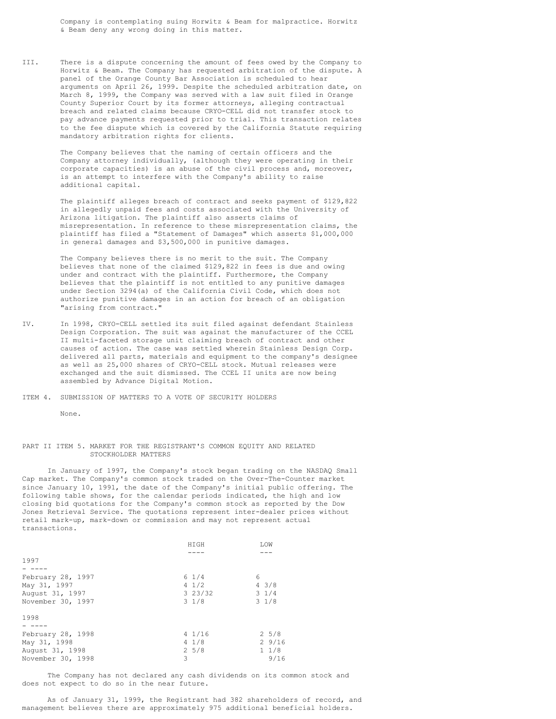Company is contemplating suing Horwitz & Beam for malpractice. Horwitz & Beam deny any wrong doing in this matter.

III. There is a dispute concerning the amount of fees owed by the Company to Horwitz & Beam. The Company has requested arbitration of the dispute. A panel of the Orange County Bar Association is scheduled to hear arguments on April 26, 1999. Despite the scheduled arbitration date, on March 8, 1999, the Company was served with a law suit filed in Orange County Superior Court by its former attorneys, alleging contractual breach and related claims because CRYO-CELL did not transfer stock to pay advance payments requested prior to trial. This transaction relates to the fee dispute which is covered by the California Statute requiring mandatory arbitration rights for clients.

> The Company believes that the naming of certain officers and the Company attorney individually, (although they were operating in their corporate capacities) is an abuse of the civil process and, moreover, is an attempt to interfere with the Company's ability to raise additional capital.

The plaintiff alleges breach of contract and seeks payment of \$129,822 in allegedly unpaid fees and costs associated with the University of Arizona litigation. The plaintiff also asserts claims of misrepresentation. In reference to these misrepresentation claims, the plaintiff has filed a "Statement of Damages" which asserts \$1,000,000 in general damages and \$3,500,000 in punitive damages.

The Company believes there is no merit to the suit. The Company believes that none of the claimed \$129,822 in fees is due and owing under and contract with the plaintiff. Furthermore, the Company believes that the plaintiff is not entitled to any punitive damages under Section 3294(a) of the California Civil Code, which does not authorize punitive damages in an action for breach of an obligation "arising from contract."

IV. In 1998, CRYO-CELL settled its suit filed against defendant Stainless Design Corporation. The suit was against the manufacturer of the CCEL II multi-faceted storage unit claiming breach of contract and other causes of action. The case was settled wherein Stainless Design Corp. delivered all parts, materials and equipment to the company's designee as well as 25,000 shares of CRYO-CELL stock. Mutual releases were exchanged and the suit dismissed. The CCEL II units are now being assembled by Advance Digital Motion.

ITEM 4. SUBMISSION OF MATTERS TO A VOTE OF SECURITY HOLDERS

None.

## PART II ITEM 5. MARKET FOR THE REGISTRANT'S COMMON EQUITY AND RELATED STOCKHOLDER MATTERS

In January of 1997, the Company's stock began trading on the NASDAQ Small Cap market. The Company's common stock traded on the Over-The-Counter market since January 10, 1991, the date of the Company's initial public offering. The following table shows, for the calendar periods indicated, the high and low closing bid quotations for the Company's common stock as reported by the Dow Jones Retrieval Service. The quotations represent inter-dealer prices without retail mark-up, mark-down or commission and may not represent actual transactions.

|                   | HIGH             | LOW             |
|-------------------|------------------|-----------------|
|                   |                  |                 |
| 1997              |                  |                 |
|                   |                  |                 |
| February 28, 1997 | $6 \frac{1}{4}$  | 6               |
| May 31, 1997      | $4 \frac{1}{2}$  | $4 \frac{3}{8}$ |
| August 31, 1997   | 323/32           | $3 \frac{1}{4}$ |
| November 30, 1997 | $3 \frac{1}{8}$  | $3 \frac{1}{8}$ |
| 1998              |                  |                 |
|                   |                  |                 |
| February 28, 1998 | $4 \frac{1}{16}$ | $2\;\;5/8$      |
| May 31, 1998      | $4 \frac{1}{8}$  | 29/16           |
| August 31, 1998   | $2\;\;5/8$       | $1 \t1/8$       |
| November 30, 1998 | 3                | 9/16            |

The Company has not declared any cash dividends on its common stock and does not expect to do so in the near future.

As of January 31, 1999, the Registrant had 382 shareholders of record, and management believes there are approximately 975 additional beneficial holders.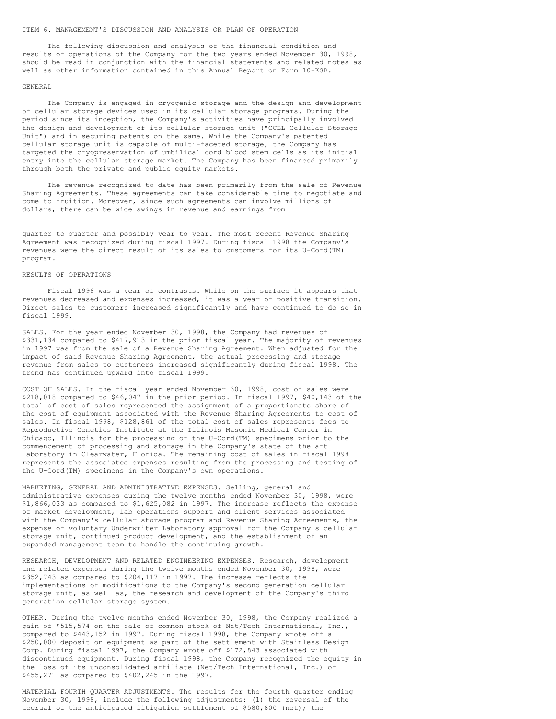#### ITEM 6. MANAGEMENT'S DISCUSSION AND ANALYSIS OR PLAN OF OPERATION

The following discussion and analysis of the financial condition and results of operations of the Company for the two years ended November 30, 1998, should be read in conjunction with the financial statements and related notes as well as other information contained in this Annual Report on Form 10-KSB.

## GENERAL

The Company is engaged in cryogenic storage and the design and development of cellular storage devices used in its cellular storage programs. During the period since its inception, the Company's activities have principally involved the design and development of its cellular storage unit ("CCEL Cellular Storage Unit") and in securing patents on the same. While the Company's patented cellular storage unit is capable of multi-faceted storage, the Company has targeted the cryopreservation of umbilical cord blood stem cells as its initial entry into the cellular storage market. The Company has been financed primarily through both the private and public equity markets.

The revenue recognized to date has been primarily from the sale of Revenue Sharing Agreements. These agreements can take considerable time to negotiate and come to fruition. Moreover, since such agreements can involve millions of dollars, there can be wide swings in revenue and earnings from

quarter to quarter and possibly year to year. The most recent Revenue Sharing Agreement was recognized during fiscal 1997. During fiscal 1998 the Company's revenues were the direct result of its sales to customers for its U-Cord(TM) program.

#### RESULTS OF OPERATIONS

Fiscal 1998 was a year of contrasts. While on the surface it appears that revenues decreased and expenses increased, it was a year of positive transition. Direct sales to customers increased significantly and have continued to do so in fiscal 1999.

SALES. For the year ended November 30, 1998, the Company had revenues of \$331,134 compared to \$417,913 in the prior fiscal year. The majority of revenues in 1997 was from the sale of a Revenue Sharing Agreement. When adjusted for the impact of said Revenue Sharing Agreement, the actual processing and storage revenue from sales to customers increased significantly during fiscal 1998. The trend has continued upward into fiscal 1999.

COST OF SALES. In the fiscal year ended November 30, 1998, cost of sales were \$218,018 compared to \$46,047 in the prior period. In fiscal 1997, \$40,143 of the total of cost of sales represented the assignment of a proportionate share of the cost of equipment associated with the Revenue Sharing Agreements to cost of sales. In fiscal 1998, \$128,861 of the total cost of sales represents fees to Reproductive Genetics Institute at the Illinois Masonic Medical Center in Chicago, Illinois for the processing of the U-Cord(TM) specimens prior to the commencement of processing and storage in the Company's state of the art laboratory in Clearwater, Florida. The remaining cost of sales in fiscal 1998 represents the associated expenses resulting from the processing and testing of the U-Cord(TM) specimens in the Company's own operations.

MARKETING, GENERAL AND ADMINISTRATIVE EXPENSES. Selling, general and administrative expenses during the twelve months ended November 30, 1998, were \$1,866,033 as compared to \$1,625,082 in 1997. The increase reflects the expense of market development, lab operations support and client services associated with the Company's cellular storage program and Revenue Sharing Agreements, the expense of voluntary Underwriter Laboratory approval for the Company's cellular storage unit, continued product development, and the establishment of an expanded management team to handle the continuing growth.

RESEARCH, DEVELOPMENT AND RELATED ENGINEERING EXPENSES. Research, development and related expenses during the twelve months ended November 30, 1998, were \$352,743 as compared to \$204,117 in 1997. The increase reflects the implementations of modifications to the Company's second generation cellular storage unit, as well as, the research and development of the Company's third generation cellular storage system.

OTHER. During the twelve months ended November 30, 1998, the Company realized a gain of \$515,574 on the sale of common stock of Net/Tech International, Inc., compared to \$443,152 in 1997. During fiscal 1998, the Company wrote off a \$250,000 deposit on equipment as part of the settlement with Stainless Design Corp. During fiscal 1997, the Company wrote off \$172,843 associated with discontinued equipment. During fiscal 1998, the Company recognized the equity in the loss of its unconsolidated affiliate (Net/Tech International, Inc.) of \$455,271 as compared to \$402,245 in the 1997.

MATERIAL FOURTH QUARTER ADJUSTMENTS. The results for the fourth quarter ending November 30, 1998, include the following adjustments: (1) the reversal of the accrual of the anticipated litigation settlement of \$580,800 (net); the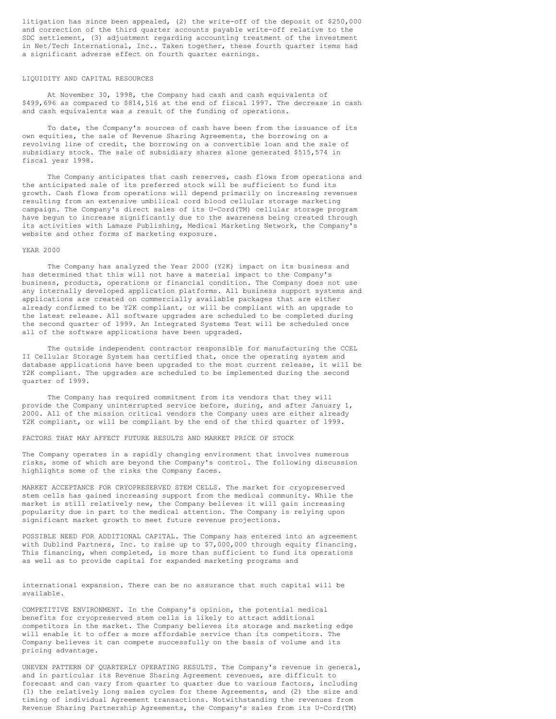litigation has since been appealed, (2) the write-off of the deposit of \$250,000 and correction of the third quarter accounts payable write-off relative to the SDC settlement, (3) adjustment regarding accounting treatment of the investment in Net/Tech International, Inc.. Taken together, these fourth quarter items had a significant adverse effect on fourth quarter earnings.

## LIQUIDITY AND CAPITAL RESOURCES

At November 30, 1998, the Company had cash and cash equivalents of \$499,696 as compared to \$814,516 at the end of fiscal 1997. The decrease in cash and cash equivalents was a result of the funding of operations.

To date, the Company's sources of cash have been from the issuance of its own equities, the sale of Revenue Sharing Agreements, the borrowing on a revolving line of credit, the borrowing on a convertible loan and the sale of subsidiary stock. The sale of subsidiary shares alone generated \$515,574 in fiscal year 1998.

The Company anticipates that cash reserves, cash flows from operations and the anticipated sale of its preferred stock will be sufficient to fund its growth. Cash flows from operations will depend primarily on increasing revenues resulting from an extensive umbilical cord blood cellular storage marketing campaign. The Company's direct sales of its U-Cord(TM) cellular storage program have begun to increase significantly due to the awareness being created through its activities with Lamaze Publishing, Medical Marketing Network, the Company's website and other forms of marketing exposure.

## YEAR 2000

The Company has analyzed the Year 2000 (Y2K) impact on its business and has determined that this will not have a material impact to the Company's business, products, operations or financial condition. The Company does not use any internally developed application platforms. All business support systems and applications are created on commercially available packages that are either already confirmed to be Y2K compliant, or will be compliant with an upgrade to the latest release. All software upgrades are scheduled to be completed during the second quarter of 1999. An Integrated Systems Test will be scheduled once all of the software applications have been upgraded.

The outside independent contractor responsible for manufacturing the CCEL II Cellular Storage System has certified that, once the operating system and database applications have been upgraded to the most current release, it will be Y2K compliant. The upgrades are scheduled to be implemented during the second quarter of 1999.

The Company has required commitment from its vendors that they will provide the Company uninterrupted service before, during, and after January 1, 2000. All of the mission critical vendors the Company uses are either already Y2K compliant, or will be compliant by the end of the third quarter of 1999.

FACTORS THAT MAY AFFECT FUTURE RESULTS AND MARKET PRICE OF STOCK

The Company operates in a rapidly changing environment that involves numerous risks, some of which are beyond the Company's control. The following discussion highlights some of the risks the Company faces.

MARKET ACCEPTANCE FOR CRYOPRESERVED STEM CELLS. The market for cryopreserved stem cells has gained increasing support from the medical community. While the market is still relatively new, the Company believes it will gain increasing popularity due in part to the medical attention. The Company is relying upon significant market growth to meet future revenue projections.

POSSIBLE NEED FOR ADDITIONAL CAPITAL. The Company has entered into an agreement with Dublind Partners, Inc. to raise up to \$7,000,000 through equity financing. This financing, when completed, is more than sufficient to fund its operations as well as to provide capital for expanded marketing programs and

international expansion. There can be no assurance that such capital will be available.

COMPETITIVE ENVIRONMENT. In the Company's opinion, the potential medical benefits for cryopreserved stem cells is likely to attract additional competitors in the market. The Company believes its storage and marketing edge will enable it to offer a more affordable service than its competitors. The Company believes it can compete successfully on the basis of volume and its pricing advantage.

UNEVEN PATTERN OF QUARTERLY OPERATING RESULTS. The Company's revenue in general, and in particular its Revenue Sharing Agreement revenues, are difficult to forecast and can vary from quarter to quarter due to various factors, including (1) the relatively long sales cycles for these Agreements, and (2) the size and timing of individual Agreement transactions. Notwithstanding the revenues from Revenue Sharing Partnership Agreements, the Company's sales from its U-Cord(TM)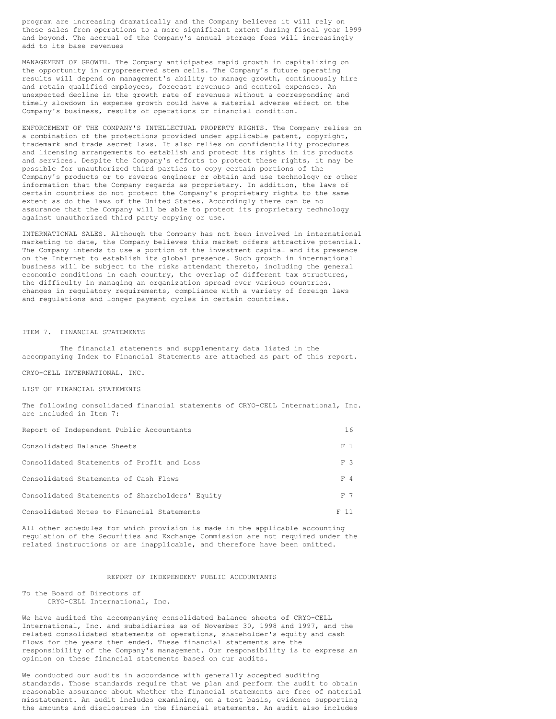program are increasing dramatically and the Company believes it will rely on these sales from operations to a more significant extent during fiscal year 1999 and beyond. The accrual of the Company's annual storage fees will increasingly add to its base revenues

MANAGEMENT OF GROWTH. The Company anticipates rapid growth in capitalizing on the opportunity in cryopreserved stem cells. The Company's future operating results will depend on management's ability to manage growth, continuously hire and retain qualified employees, forecast revenues and control expenses. An unexpected decline in the growth rate of revenues without a corresponding and timely slowdown in expense growth could have a material adverse effect on the Company's business, results of operations or financial condition.

ENFORCEMENT OF THE COMPANY'S INTELLECTUAL PROPERTY RIGHTS. The Company relies on a combination of the protections provided under applicable patent, copyright, trademark and trade secret laws. It also relies on confidentiality procedures and licensing arrangements to establish and protect its rights in its products and services. Despite the Company's efforts to protect these rights, it may be possible for unauthorized third parties to copy certain portions of the Company's products or to reverse engineer or obtain and use technology or other information that the Company regards as proprietary. In addition, the laws of certain countries do not protect the Company's proprietary rights to the same extent as do the laws of the United States. Accordingly there can be no assurance that the Company will be able to protect its proprietary technology against unauthorized third party copying or use.

INTERNATIONAL SALES. Although the Company has not been involved in international marketing to date, the Company believes this market offers attractive potential. The Company intends to use a portion of the investment capital and its presence on the Internet to establish its global presence. Such growth in international business will be subject to the risks attendant thereto, including the general economic conditions in each country, the overlap of different tax structures, the difficulty in managing an organization spread over various countries, changes in regulatory requirements, compliance with a variety of foreign laws and regulations and longer payment cycles in certain countries.

#### ITEM 7. FINANCIAL STATEMENTS

The financial statements and supplementary data listed in the accompanying Index to Financial Statements are attached as part of this report.

CRYO-CELL INTERNATIONAL, INC.

LIST OF FINANCIAL STATEMENTS

The following consolidated financial statements of CRYO-CELL International, Inc. are included in Item 7:

| Report of Independent Public Accountants        | 16   |
|-------------------------------------------------|------|
| Consolidated Balance Sheets                     | F 1  |
| Consolidated Statements of Profit and Loss      | F 3  |
| Consolidated Statements of Cash Flows           | F 4  |
| Consolidated Statements of Shareholders' Equity | F 7  |
| Consolidated Notes to Financial Statements      | F 11 |

All other schedules for which provision is made in the applicable accounting regulation of the Securities and Exchange Commission are not required under the related instructions or are inapplicable, and therefore have been omitted.

#### REPORT OF INDEPENDENT PUBLIC ACCOUNTANTS

To the Board of Directors of CRYO-CELL International, Inc.

We have audited the accompanying consolidated balance sheets of CRYO-CELL International, Inc. and subsidiaries as of November 30, 1998 and 1997, and the related consolidated statements of operations, shareholder's equity and cash flows for the years then ended. These financial statements are the responsibility of the Company's management. Our responsibility is to express an opinion on these financial statements based on our audits.

We conducted our audits in accordance with generally accepted auditing standards. Those standards require that we plan and perform the audit to obtain reasonable assurance about whether the financial statements are free of material misstatement. An audit includes examining, on a test basis, evidence supporting the amounts and disclosures in the financial statements. An audit also includes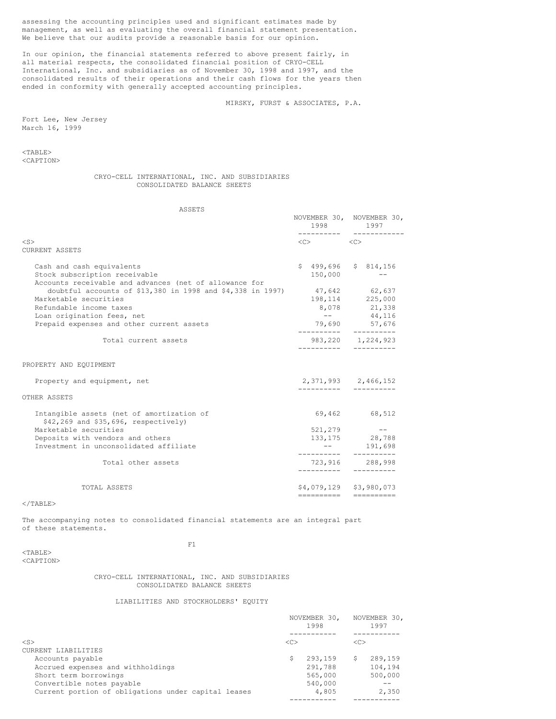assessing the accounting principles used and significant estimates made by management, as well as evaluating the overall financial statement presentation. We believe that our audits provide a reasonable basis for our opinion.

In our opinion, the financial statements referred to above present fairly, in all material respects, the consolidated financial position of CRYO-CELL International, Inc. and subsidiaries as of November 30, 1998 and 1997, and the consolidated results of their operations and their cash flows for the years then ended in conformity with generally accepted accounting principles.

MIRSKY, FURST & ASSOCIATES, P.A.

Fort Lee, New Jersey March 16, 1999

<TABLE> <CAPTION>

## CRYO-CELL INTERNATIONAL, INC. AND SUBSIDIARIES CONSOLIDATED BALANCE SHEETS

ASSETS

| 110 U U L U                                                                                                                                                                                                   |                                         | NOVEMBER 30, NOVEMBER 30,<br>1998 1997                                     |
|---------------------------------------------------------------------------------------------------------------------------------------------------------------------------------------------------------------|-----------------------------------------|----------------------------------------------------------------------------|
| $<$ S $>$<br>CURRENT ASSETS                                                                                                                                                                                   | $\langle C \rangle$ $\langle C \rangle$ |                                                                            |
| Cash and cash equivalents<br>Stock subscription receivable<br>Accounts receivable and advances (net of allowance for<br>doubtful accounts of $$13,380$ in 1998 and $$4,338$ in 1997)<br>Marketable securities | 150,000                                 | $$499,696$ $$814,156$<br>$47,642$ $62,637$<br>198,114 225,000              |
| Refundable income taxes<br>Loan origination fees, net<br>Prepaid expenses and other current assets                                                                                                            |                                         | 8,078 21,338<br>$--$ 44,116<br>79,690 57,676                               |
| Total current assets                                                                                                                                                                                          |                                         | ---------- ----------<br>983, 220 1, 224, 923                              |
| PROPERTY AND EQUIPMENT                                                                                                                                                                                        |                                         |                                                                            |
| Property and equipment, net                                                                                                                                                                                   |                                         | 2,371,993 2,466,152                                                        |
| OTHER ASSETS                                                                                                                                                                                                  |                                         |                                                                            |
| Intangible assets (net of amortization of<br>$$42,269$ and $$35,696$ , respectively)                                                                                                                          |                                         | 69,462 68,512                                                              |
| Marketable securities<br>Deposits with vendors and others<br>Investment in unconsolidated affiliate                                                                                                           |                                         | $521, 279$ --<br>133, 175 28, 788<br>$-- 191,698$<br>---------- ---------- |
| Total other assets                                                                                                                                                                                            |                                         | 723,916 288,998<br>---------- ----------                                   |
| TOTAL ASSETS                                                                                                                                                                                                  |                                         | \$4,079,129 \$3,980,073<br>======================                          |

 $<$ /TABLE>

The accompanying notes to consolidated financial statements are an integral part of these statements.

 $<$ TABLE> <CAPTION> F1

## CRYO-CELL INTERNATIONAL, INC. AND SUBSIDIARIES CONSOLIDATED BALANCE SHEETS

## LIABILITIES AND STOCKHOLDERS' EQUITY

|                                                     |         | NOVEMBER 30,<br>1998 |    | NOVEMBER 30,<br>1997 |
|-----------------------------------------------------|---------|----------------------|----|----------------------|
| $<$ S>                                              | <c></c> |                      | << |                      |
| CURRENT LIABILITIES                                 |         |                      |    |                      |
| Accounts payable                                    |         | 293,159              | S  | 289,159              |
| Accrued expenses and withholdings                   |         | 291,788              |    | 104,194              |
| Short term borrowings                               |         | 565,000              |    | 500,000              |
| Convertible notes payable                           |         | 540,000              |    |                      |
| Current portion of obligations under capital leases |         | 4,805                |    | 2,350                |
|                                                     |         |                      |    |                      |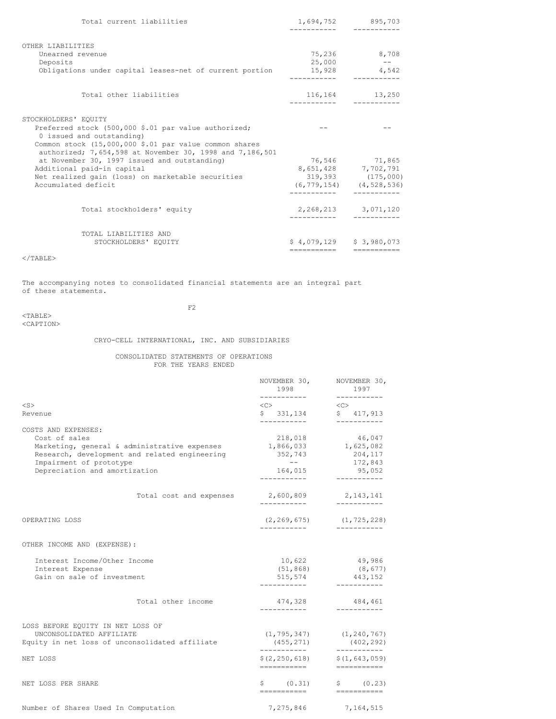| Total current liabilities                                                                                                                                                                                                       |                       | 1,694,752 895,703<br>---------                                                               |
|---------------------------------------------------------------------------------------------------------------------------------------------------------------------------------------------------------------------------------|-----------------------|----------------------------------------------------------------------------------------------|
| OTHER LIABILITIES<br>Unearned revenue<br>Deposits                                                                                                                                                                               | 25,000                | 75,236 8,708<br>$- -$                                                                        |
| Obligations under capital leases-net of current portion                                                                                                                                                                         | ----------- --------- | 15,928 4,542                                                                                 |
| Total other liabilities                                                                                                                                                                                                         |                       | 116,164 13,250                                                                               |
| STOCKHOLDERS' EQUITY<br>Preferred stock (500,000 \$.01 par value authorized;<br>0 issued and outstanding)<br>Common stock (15,000,000 \$.01 par value common shares<br>authorized; 7,654,598 at November 30, 1998 and 7,186,501 |                       |                                                                                              |
| at November 30, 1997 issued and outstanding)<br>Additional paid-in capital<br>Net realized gain (loss) on marketable securities<br>Accumulated deficit                                                                          | ------------          | 76,546 71,865<br>8,651,428 7,702,791<br>319,393 (175,000)<br>$(6, 779, 154)$ $(4, 528, 536)$ |
| Total stockholders' equity                                                                                                                                                                                                      |                       | 2, 268, 213 3, 071, 120                                                                      |
| TOTAL LIABILITIES AND<br>STOCKHOLDERS' EQUITY                                                                                                                                                                                   | ============          | $$4,079,129$ $$3,980,073$<br>===========                                                     |

 $<$ /TABLE>

The accompanying notes to consolidated financial statements are an integral part of these statements.

 $<sub>TABLE</sub>$ </sub>

 $F2$ 

# <CAPTION>

CRYO-CELL INTERNATIONAL, INC. AND SUBSIDIARIES

CONSOLIDATED STATEMENTS OF OPERATIONS FOR THE YEARS ENDED

|                                                | NOVEMBER 30,<br>1998                | NOVEMBER 30,<br>1997            |
|------------------------------------------------|-------------------------------------|---------------------------------|
| $<$ S $>$                                      | ------------<br>$<\infty$           | -----------<br>$\langle$ C>     |
| Revenue                                        | \$331,134<br>------------           | \$417,913<br>-----------        |
| COSTS AND EXPENSES:                            |                                     |                                 |
| Cost of sales                                  | 218,018                             | 46,047                          |
| Marketing, general & administrative expenses   | 1,866,033 1,625,082                 |                                 |
| Research, development and related engineering  | 352,743                             | 204, 117                        |
| Impairment of prototype                        | $\sim$ 100 $-$ 100 $-$              | 172,843                         |
| Depreciation and amortization                  | 164,015<br>------------             | 95,052<br>---------             |
|                                                |                                     |                                 |
| Total cost and expenses                        | 2,600,809 2,143,141<br>------------ | -----------                     |
| OPERATING LOSS                                 | (2, 269, 675)                       | (1, 725, 228)                   |
|                                                | ------------                        | -----------                     |
| OTHER INCOME AND (EXPENSE):                    |                                     |                                 |
| Interest Income/Other Income                   | 10,622                              | 49,986                          |
| Interest Expense                               | (51, 868)                           | (8, 677)                        |
| Gain on sale of investment                     | 515,574<br>-----------              | 443,152<br>---------            |
| Total other income                             |                                     |                                 |
|                                                | 474,328                             | 484,461<br>---------            |
| LOSS BEFORE EQUITY IN NET LOSS OF              |                                     |                                 |
| UNCONSOLIDATED AFFILIATE                       |                                     | $(1, 795, 347)$ $(1, 240, 767)$ |
| Equity in net loss of unconsolidated affiliate | (455, 271)<br>-----------           | (402, 292)<br>-----------       |
| NET LOSS                                       | \$(2, 250, 618)                     | \$(1, 643, 059)                 |
|                                                | ------------                        | ------------                    |
| NET LOSS PER SHARE                             |                                     | $\S$ (0.31) $\S$ (0.23)         |
| Number of Shares Used In Computation           | 7,275,846                           | 7,164,515                       |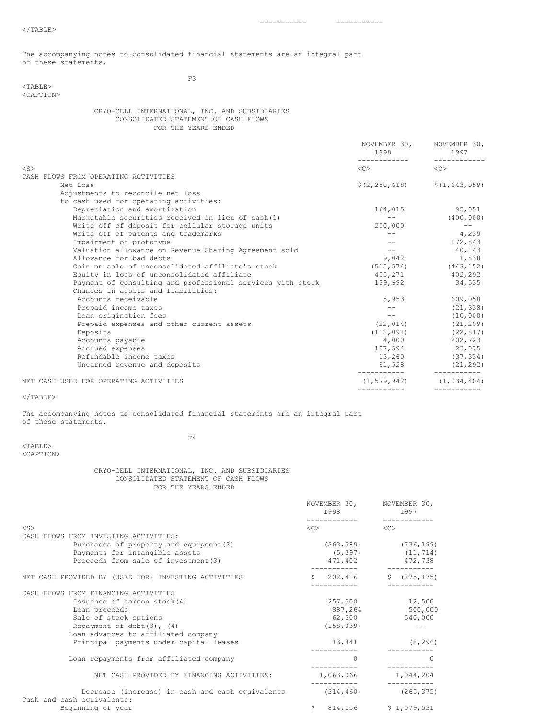=========== ===========

The accompanying notes to consolidated financial statements are an integral part of these statements.

<TABLE> <CAPTION> F3

CRYO-CELL INTERNATIONAL, INC. AND SUBSIDIARIES CONSOLIDATED STATEMENT OF CASH FLOWS FOR THE YEARS ENDED

|                                                            | 1998<br>------------- | NOVEMBER 30, NOVEMBER 30,<br>1997<br>------------ |
|------------------------------------------------------------|-----------------------|---------------------------------------------------|
| $<$ S $>$                                                  | $\langle C \rangle$   | $\langle$ C>                                      |
| CASH FLOWS FROM OPERATING ACTIVITIES                       |                       |                                                   |
| Net Loss                                                   | \$(2, 250, 618)       | \$(1, 643, 059)                                   |
| Adjustments to reconcile net loss                          |                       |                                                   |
| to cash used for operating activities:                     |                       |                                                   |
| Depreciation and amortization                              | 164,015               | 95,051                                            |
| Marketable securities received in lieu of cash(1)          | $   \,$               | (400, 000)                                        |
| Write off of deposit for cellular storage units            | 250,000               | $  \,$                                            |
| Write off of patents and trademarks                        | $---$                 | 4,239                                             |
| Impairment of prototype                                    | $- -$                 | 172,843                                           |
| Valuation allowance on Revenue Sharing Agreement sold      | $  -$                 | 40,143                                            |
| Allowance for bad debts                                    |                       | 9,042 1,838                                       |
| Gain on sale of unconsolidated affiliate's stock           |                       | $(515, 574)$ $(443, 152)$                         |
| Equity in loss of unconsolidated affiliate                 | 455,271               | 402,292                                           |
| Payment of consulting and professional services with stock |                       | 139,692 34,535                                    |
| Changes in assets and liabilities:                         |                       |                                                   |
| Accounts receivable                                        |                       | 5,953 609,058                                     |
| Prepaid income taxes                                       | $ -$                  | (21, 338)                                         |
| Loan origination fees                                      | $- -$                 | (10,000)                                          |
| Prepaid expenses and other current assets                  | (22, 014)             | (21, 209)                                         |
| Deposits                                                   | (112, 091)            | (22, 817)                                         |
| Accounts payable                                           |                       | 4,000 202,723                                     |
| Accrued expenses                                           |                       | 187,594 23,075                                    |
| Refundable income taxes                                    |                       | 13,260 (37,334)                                   |
| Unearned revenue and deposits                              | 91,528                | (21, 292)                                         |
| NET CASH USED FOR OPERATING ACTIVITIES                     |                       | $(1, 579, 942)$ $(1, 034, 404)$                   |
|                                                            |                       |                                                   |

 $\rm <$  /TABLE>

The accompanying notes to consolidated financial statements are an integral part of these statements.

<TABLE> <CAPTION> F4

## CRYO-CELL INTERNATIONAL, INC. AND SUBSIDIARIES CONSOLIDATED STATEMENT OF CASH FLOWS FOR THE YEARS ENDED

|                                                                                | NOVEMBER 30, NOVEMBER 30,<br>1998 | 1997                                                |
|--------------------------------------------------------------------------------|-----------------------------------|-----------------------------------------------------|
| $<$ S>                                                                         | $<<$ $>$                          | $\langle C \rangle$                                 |
| CASH FLOWS FROM INVESTING ACTIVITIES:                                          |                                   |                                                     |
| Purchases of property and equipment (2)<br>Payments for intangible assets      |                                   | $(263, 589)$ $(736, 199)$<br>$(5, 397)$ $(11, 714)$ |
| Proceeds from sale of investment (3)                                           | 471,402                           | 472,738                                             |
| NET CASH PROVIDED BY (USED FOR) INVESTING ACTIVITIES                           |                                   | $$202,416$ $$(275,175)$                             |
| CASH FLOWS FROM FINANCING ACTIVITIES                                           |                                   |                                                     |
| Issuance of common stock(4)                                                    |                                   | 257,500 12,500                                      |
| Loan proceeds                                                                  |                                   | 887,264 500,000                                     |
| Sale of stock options                                                          | 62,500                            | 540,000                                             |
| Repayment of debt $(3)$ , $(4)$                                                | (158, 039)                        |                                                     |
| Loan advances to affiliated company                                            |                                   |                                                     |
| Principal payments under capital leases                                        | 13,841                            | (8, 296)                                            |
| Loan repayments from affiliated company                                        | $\Omega$                          | $\left( \right)$                                    |
| NET CASH PROVIDED BY FINANCING ACTIVITIES:                                     | 1,063,066                         | 1,044,204                                           |
| Decrease (increase) in cash and cash equivalents<br>Cash and cash equivalents: |                                   | $(314, 460)$ $(265, 375)$                           |
| Beginning of year                                                              | Ŝ.                                | 814,156 \$1,079,531                                 |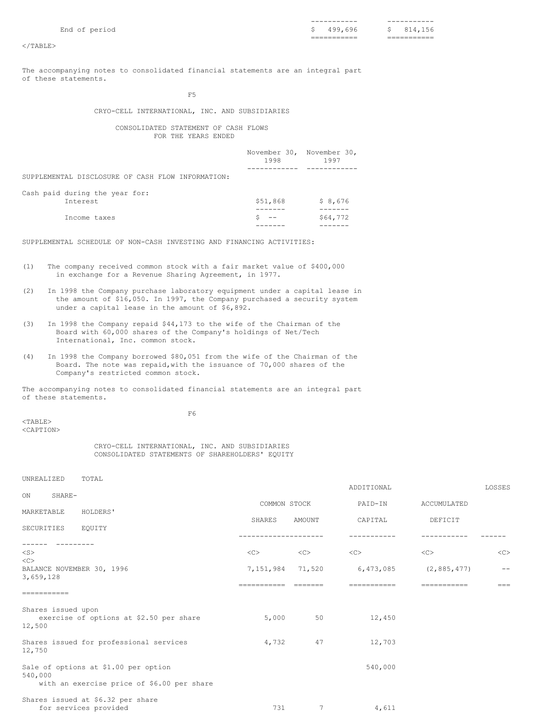|                                       | -----------                     | -----------       |
|---------------------------------------|---------------------------------|-------------------|
| $-$<br>End<br>nori.<br>ഹ<br>$-1$<br>◡ | uu<br>696<br>$\tilde{}$         | ັ                 |
|                                       | __<br>__________<br>___________ | ---<br>---------- |

 $<$ /TABLE>

The accompanying notes to consolidated financial statements are an integral part of these statements.

F5

## CRYO-CELL INTERNATIONAL, INC. AND SUBSIDIARIES

## CONSOLIDATED STATEMENT OF CASH FLOWS FOR THE YEARS ENDED

|                                                   | November 30, November 30,<br>1998 | 1997     |
|---------------------------------------------------|-----------------------------------|----------|
|                                                   |                                   |          |
| SUPPLEMENTAL DISCLOSURE OF CASH FLOW INFORMATION: |                                   |          |
|                                                   |                                   |          |
| Cash paid during the year for:                    |                                   |          |
| Interest                                          | \$51,868                          | \$8,676  |
|                                                   |                                   |          |
| Income taxes                                      |                                   | \$64,772 |
|                                                   |                                   |          |
|                                                   |                                   |          |

SUPPLEMENTAL SCHEDULE OF NON-CASH INVESTING AND FINANCING ACTIVITIES:

- (1) The company received common stock with a fair market value of \$400,000 in exchange for a Revenue Sharing Agreement, in 1977.
- (2) In 1998 the Company purchase laboratory equipment under a capital lease in the amount of \$16,050. In 1997, the Company purchased a security system under a capital lease in the amount of \$6,892.
- (3) In 1998 the Company repaid \$44,173 to the wife of the Chairman of the Board with 60,000 shares of the Company's holdings of Net/Tech International, Inc. common stock.
- (4) In 1998 the Company borrowed \$80,051 from the wife of the Chairman of the Board. The note was repaid,with the issuance of 70,000 shares of the Company's restricted common stock.

The accompanying notes to consolidated financial statements are an integral part of these statements.

F6

<TABLE> <CAPTION>

CRYO-CELL INTERNATIONAL, INC. AND SUBSIDIARIES CONSOLIDATED STATEMENTS OF SHAREHOLDERS' EQUITY

for services provided 731 7 4,611

| TOTAL<br><b>UNREALIZED</b>                                                                    |                      |              | ADDITIONAL                                    |             | LOSSES      |
|-----------------------------------------------------------------------------------------------|----------------------|--------------|-----------------------------------------------|-------------|-------------|
| SHARE-<br><b>ON</b>                                                                           | COMMON STOCK         |              | PAID-IN                                       | ACCUMULATED |             |
| HOLDERS'<br>MARKETABLE                                                                        | SHARES               | AMOUNT       | CAPITAL                                       | DEFICIT     |             |
| SECURITIES<br>EQUITY                                                                          | -------------------- |              |                                               |             |             |
| $<$ S $>$                                                                                     | $<\infty$            | $\langle$ C> | <<                                            | <<          | <<          |
| <<<br>BALANCE NOVEMBER 30, 1996<br>3,659,128                                                  |                      |              | 7, 151, 984 71, 520 6, 473, 085 (2, 885, 477) |             |             |
| ===========                                                                                   | ==========           | =======      | ==========                                    | =========== | $=$ $=$ $=$ |
| Shares issued upon<br>exercise of options at \$2.50 per share<br>12,500                       | 5,000                | 50           | 12,450                                        |             |             |
| Shares issued for professional services<br>12,750                                             | 4,732                | 47           | 12,703                                        |             |             |
| Sale of options at \$1.00 per option<br>540,000<br>with an exercise price of \$6.00 per share |                      |              | 540,000                                       |             |             |
| Shares issued at \$6.32 per share                                                             |                      |              |                                               |             |             |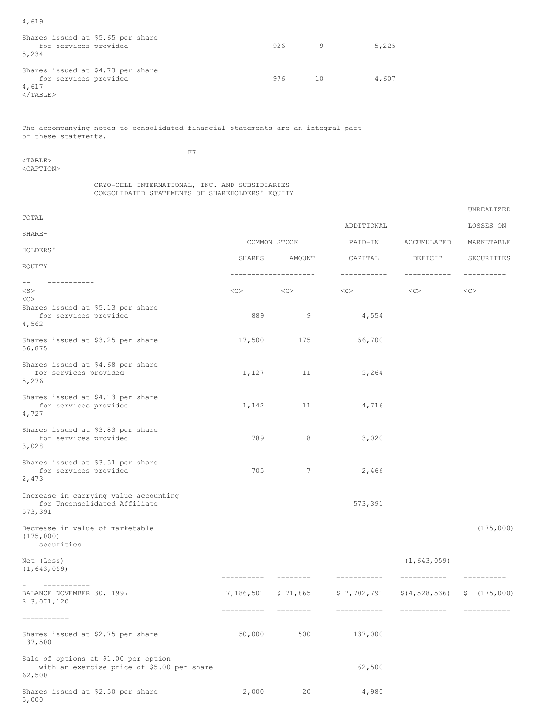4,619

| Shares issued at \$5.65 per share<br>for services provided<br>5,234                | 926 | 9.    | 5,225 |
|------------------------------------------------------------------------------------|-----|-------|-------|
| Shares issued at \$4.73 per share<br>for services provided<br>4,617<br>$<$ /TABLE> | 976 | - 1 O | 4.607 |

The accompanying notes to consolidated financial statements are an integral part of these statements.

 $<$ TABLE $>$ <CAPTION> F7

#### CRYO-CELL INTERNATIONAL, INC. AND SUBSIDIARIES CONSOLIDATED STATEMENTS OF SHAREHOLDERS' EQUITY

| TOTAL                                                                                        |                         |                            | ADDITIONAL                 |                                | LOSSES ON                   |
|----------------------------------------------------------------------------------------------|-------------------------|----------------------------|----------------------------|--------------------------------|-----------------------------|
| SHARE-                                                                                       |                         | COMMON STOCK               | PAID-IN                    | ACCUMULATED                    | MARKETABLE                  |
| HOLDERS'                                                                                     |                         |                            |                            |                                |                             |
| EOUITY                                                                                       | SHARES                  | AMOUNT                     | CAPITAL                    | DEFICIT                        | SECURITIES                  |
| $- -$<br>-----------<br>$<$ S $>$<br><<>                                                     | <<>                     | --------------------<br><< | -----------<br><<          | -----------<br><<              | ----------<br>< <sub></sub> |
| Shares issued at \$5.13 per share<br>for services provided<br>4,562                          | 889                     | 9                          | 4,554                      |                                |                             |
| Shares issued at \$3.25 per share<br>56,875                                                  | 17,500                  | 175                        | 56,700                     |                                |                             |
| Shares issued at \$4.68 per share<br>for services provided<br>5,276                          | 1,127                   | 11                         | 5,264                      |                                |                             |
| Shares issued at \$4.13 per share<br>for services provided<br>4,727                          | 1,142                   | 11                         | 4,716                      |                                |                             |
| Shares issued at \$3.83 per share<br>for services provided<br>3,028                          | 789                     | 8                          | 3,020                      |                                |                             |
| Shares issued at \$3.51 per share<br>for services provided<br>2,473                          | 705                     | 7                          | 2,466                      |                                |                             |
| Increase in carrying value accounting<br>for Unconsolidated Affiliate<br>573,391             |                         |                            | 573,391                    |                                |                             |
| Decrease in value of marketable<br>(175,000)<br>securities                                   |                         |                            |                            |                                | (175,000)                   |
| Net (Loss)<br>(1, 643, 059)                                                                  | ----------              | $- - - - - - - -$          | -----------                | (1, 643, 059)<br>-----------   | ----------                  |
| -----------<br>BALANCE NOVEMBER 30, 1997<br>\$3,071,120                                      | 7,186,501<br>========== | \$71,865<br>========       | \$7,702,791<br>=========== | \$(4, 528, 536)<br>----------- | \$(175,000)<br>eccessesses  |
| -----------                                                                                  |                         |                            |                            |                                |                             |
| Shares issued at \$2.75 per share<br>137,500                                                 | 50,000                  | 500                        | 137,000                    |                                |                             |
| Sale of options at \$1.00 per option<br>with an exercise price of \$5.00 per share<br>62,500 |                         |                            | 62,500                     |                                |                             |
| Shares issued at \$2.50 per share<br>5,000                                                   | 2,000                   | 20                         | 4,980                      |                                |                             |

UNREALIZED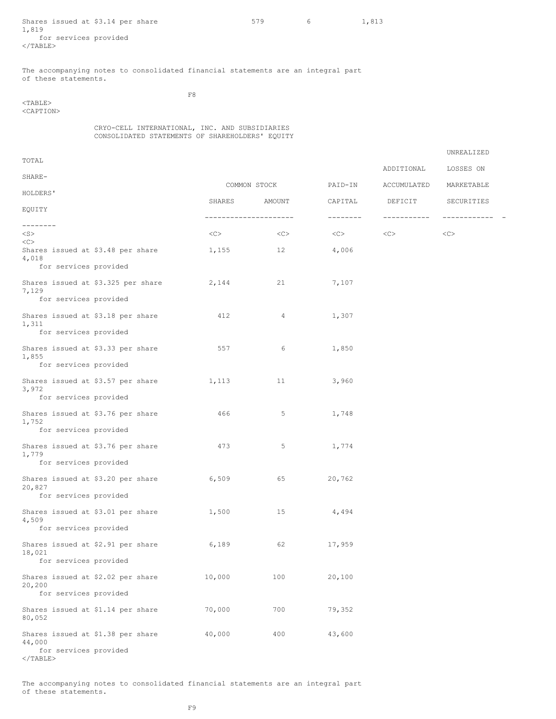Shares issued at  $$3.14$  per share  $$579$  6  $1,813$ 1,819 for services provided  $<$ /TABLE $>$ 

UNREALIZED

The accompanying notes to consolidated financial statements are an integral part of these statements.

<TABLE>

F8

<CAPTION>

CRYO-CELL INTERNATIONAL, INC. AND SUBSIDIARIES CONSOLIDATED STATEMENTS OF SHAREHOLDERS' EQUITY

| TOTAL                                       |                                    |                       |              |          |             |              |
|---------------------------------------------|------------------------------------|-----------------------|--------------|----------|-------------|--------------|
| SHARE-                                      |                                    |                       |              |          | ADDITIONAL  | LOSSES ON    |
| HOLDERS'                                    |                                    |                       | COMMON STOCK | PAID-IN  | ACCUMULATED | MARKETABLE   |
| EQUITY                                      |                                    | SHARES                | AMOUNT       | CAPITAL  | DEFICIT     | SECURITIES   |
| --------                                    |                                    | --------------------- |              | -------- | ----------- | ------------ |
| $<$ S $>$<br><<>                            |                                    | <<>                   | <<           | $<<$ $>$ | <<>         | <<           |
| Shares issued at \$3.48 per share<br>4,018  |                                    | 1,155                 | 12           | 4,006    |             |              |
| for services provided                       |                                    |                       |              |          |             |              |
| 7,129<br>for services provided              | Shares issued at \$3.325 per share | 2,144                 | 21           | 7,107    |             |              |
|                                             |                                    |                       |              |          |             |              |
| Shares issued at \$3.18 per share<br>1,311  |                                    | 412                   | 4            | 1,307    |             |              |
| for services provided                       |                                    |                       |              |          |             |              |
| Shares issued at \$3.33 per share<br>1,855  |                                    | 557                   | 6            | 1,850    |             |              |
| for services provided                       |                                    |                       |              |          |             |              |
| Shares issued at \$3.57 per share<br>3,972  |                                    | 1,113                 | 11           | 3,960    |             |              |
| for services provided                       |                                    |                       |              |          |             |              |
| Shares issued at \$3.76 per share<br>1,752  |                                    | 466                   | 5            | 1,748    |             |              |
| for services provided                       |                                    |                       |              |          |             |              |
| Shares issued at \$3.76 per share<br>1,779  |                                    | 473                   | 5            | 1,774    |             |              |
| for services provided                       |                                    |                       |              |          |             |              |
| Shares issued at \$3.20 per share<br>20,827 |                                    | 6,509                 | 65           | 20,762   |             |              |
| for services provided                       |                                    |                       |              |          |             |              |
| Shares issued at \$3.01 per share<br>4,509  |                                    | 1,500                 | 15           | 4,494    |             |              |
| for services provided                       |                                    |                       |              |          |             |              |
| Shares issued at \$2.91 per share<br>18,021 |                                    | 6,189                 | 62           | 17,959   |             |              |
| for services provided                       |                                    |                       |              |          |             |              |
| Shares issued at \$2.02 per share<br>20,200 |                                    | 10,000                | 100          | 20,100   |             |              |
| for services provided                       |                                    |                       |              |          |             |              |
| Shares issued at \$1.14 per share<br>80,052 |                                    | 70,000                | 700          | 79,352   |             |              |
| Shares issued at \$1.38 per share<br>44,000 |                                    | 40,000                | 400          | 43,600   |             |              |
| for services provided<br>$\langle$ /TABLE>  |                                    |                       |              |          |             |              |

The accompanying notes to consolidated financial statements are an integral part of these statements.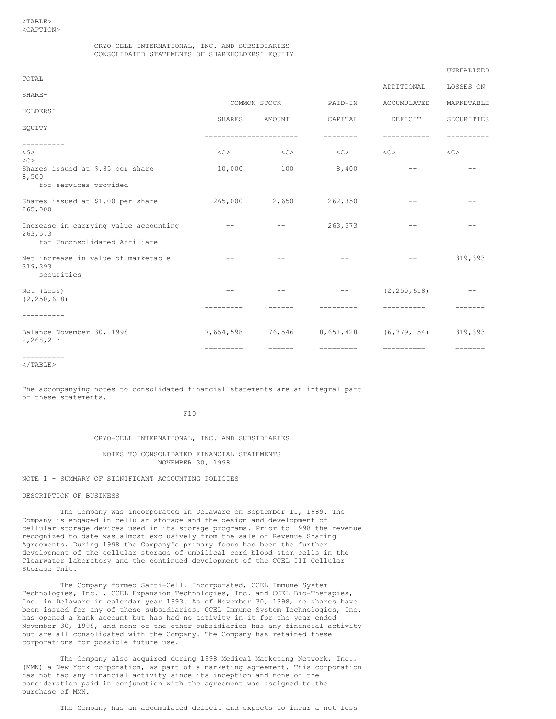## CRYO-CELL INTERNATIONAL, INC. AND SUBSIDIARIES CONSOLIDATED STATEMENTS OF SHAREHOLDERS' EQUITY

## UNREALIZED

| TOTAL                                                                            |           |                    |                       | ADDITIONAL              | LOSSES ON         |
|----------------------------------------------------------------------------------|-----------|--------------------|-----------------------|-------------------------|-------------------|
| SHARE-                                                                           |           |                    |                       |                         |                   |
| HOLDERS'                                                                         |           | COMMON STOCK       | PAID-IN               | ACCUMULATED             | MARKETABLE        |
| EOUITY                                                                           | SHARES    | AMOUNT             | CAPITAL               | DEFICIT                 | SECURITIES        |
| . _ _ _ _ _ _ _ _ _                                                              |           | ------------------ |                       |                         | ---------         |
| $<$ S $>$<br>$\langle C \rangle$                                                 | <<        | <<                 | <<                    | $<\infty$               | <<                |
| Shares issued at \$.85 per share<br>8,500                                        | 10,000    | 100                | 8,400                 | $ -$                    |                   |
| for services provided                                                            |           |                    |                       |                         |                   |
| Shares issued at \$1.00 per share<br>265,000                                     | 265,000   | 2,650              | 262,350               |                         |                   |
| Increase in carrying value accounting<br>263,573<br>for Unconsolidated Affiliate | $- -$     | $- -$              | 263,573               |                         |                   |
| Net increase in value of marketable<br>319,393<br>securities                     |           |                    |                       |                         | 319,393           |
| Net (Loss)<br>(2, 250, 618)                                                      | $- -$     | $- -$              | $\qquad \qquad -$     | (2, 250, 618)           | $ -$              |
| ---------                                                                        |           |                    |                       |                         |                   |
| Balance November 30, 1998<br>2,268,213                                           | 7,654,598 | 76,546             | 8,651,428             | (6, 779, 154)           | 319,393           |
|                                                                                  | --------- | <b>CONCORD</b>     | $=$ = = = = = = = = = | $=$ = = = = = = = = = = | $=$ = = = = = = = |

 $<$ /TABLE>

The accompanying notes to consolidated financial statements are an integral part of these statements.

 $F10$ 

## CRYO-CELL INTERNATIONAL, INC. AND SUBSIDIARIES

#### NOTES TO CONSOLIDATED FINANCIAL STATEMENTS NOVEMBER 30, 1998

NOTE 1 - SUMMARY OF SIGNIFICANT ACCOUNTING POLICIES

### DESCRIPTION OF BUSINESS

The Company was incorporated in Delaware on September 11, 1989. The Company is engaged in cellular storage and the design and development of cellular storage devices used in its storage programs. Prior to 1998 the revenue recognized to date was almost exclusively from the sale of Revenue Sharing Agreements. During 1998 the Company's primary focus has been the further development of the cellular storage of umbilical cord blood stem cells in the Clearwater laboratory and the continued development of the CCEL III Cellular Storage Unit.

The Company formed Safti-Cell, Incorporated, CCEL Immune System Technologies, Inc. , CCEL Expansion Technologies, Inc. and CCEL Bio-Therapies, Inc. in Delaware in calendar year 1993. As of November 30, 1998, no shares have been issued for any of these subsidiaries. CCEL Immune System Technologies, Inc. has opened a bank account but has had no activity in it for the year ended November 30, 1998, and none of the other subsidiaries has any financial activity but are all consolidated with the Company. The Company has retained these corporations for possible future use.

The Company also acquired during 1998 Medical Marketing Network, Inc., (MMN) a New York corporation, as part of a marketing agreement. This corporation has not had any financial activity since its inception and none of the consideration paid in conjunction with the agreement was assigned to the purchase of MMN.

The Company has an accumulated deficit and expects to incur a net loss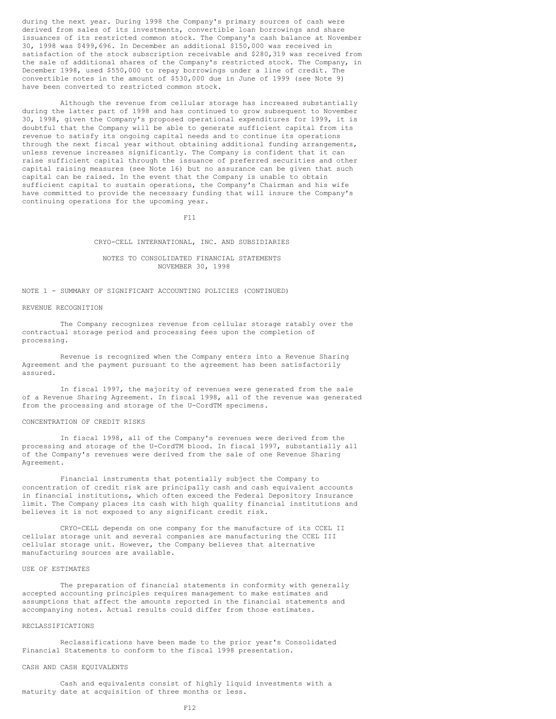during the next year. During 1998 the Company's primary sources of cash were derived from sales of its investments, convertible loan borrowings and share issuances of its restricted common stock. The Company's cash balance at November 30, 1998 was \$499,696. In December an additional \$150,000 was received in satisfaction of the stock subscription receivable and \$280,319 was received from the sale of additional shares of the Company's restricted stock. The Company, in December 1998, used \$550,000 to repay borrowings under a line of credit. The convertible notes in the amount of \$530,000 due in June of 1999 (see Note 9) have been converted to restricted common stock.

Although the revenue from cellular storage has increased substantially during the latter part of 1998 and has continued to grow subsequent to November 30, 1998, given the Company's proposed operational expenditures for 1999, it is doubtful that the Company will be able to generate sufficient capital from its revenue to satisfy its ongoing capital needs and to continue its operations through the next fiscal year without obtaining additional funding arrangements, unless revenue increases significantly. The Company is confident that it can raise sufficient capital through the issuance of preferred securities and other capital raising measures (see Note 16) but no assurance can be given that such capital can be raised. In the event that the Company is unable to obtain sufficient capital to sustain operations, the Company's Chairman and his wife have committed to provide the necessary funding that will insure the Company's continuing operations for the upcoming year.

F11

CRYO-CELL INTERNATIONAL, INC. AND SUBSIDIARIES

## NOTES TO CONSOLIDATED FINANCIAL STATEMENTS NOVEMBER 30, 1998

## NOTE 1 - SUMMARY OF SIGNIFICANT ACCOUNTING POLICIES (CONTINUED)

#### REVENUE RECOGNITION

The Company recognizes revenue from cellular storage ratably over the contractual storage period and processing fees upon the completion of processing.

Revenue is recognized when the Company enters into a Revenue Sharing Agreement and the payment pursuant to the agreement has been satisfactorily assured.

In fiscal 1997, the majority of revenues were generated from the sale of a Revenue Sharing Agreement. In fiscal 1998, all of the revenue was generated from the processing and storage of the U-CordTM specimens.

#### CONCENTRATION OF CREDIT RISKS

In fiscal 1998, all of the Company's revenues were derived from the processing and storage of the U-CordTM blood. In fiscal 1997, substantially all of the Company's revenues were derived from the sale of one Revenue Sharing Agreement.

Financial instruments that potentially subject the Company to concentration of credit risk are principally cash and cash equivalent accounts in financial institutions, which often exceed the Federal Depository Insurance limit. The Company places its cash with high quality financial institutions and believes it is not exposed to any significant credit risk.

CRYO-CELL depends on one company for the manufacture of its CCEL II cellular storage unit and several companies are manufacturing the CCEL III cellular storage unit. However, the Company believes that alternative manufacturing sources are available.

## USE OF ESTIMATES

The preparation of financial statements in conformity with generally accepted accounting principles requires management to make estimates and assumptions that affect the amounts reported in the financial statements and accompanying notes. Actual results could differ from those estimates.

#### RECLASSIFICATIONS

Reclassifications have been made to the prior year's Consolidated Financial Statements to conform to the fiscal 1998 presentation.

### CASH AND CASH EQUIVALENTS

Cash and equivalents consist of highly liquid investments with a maturity date at acquisition of three months or less.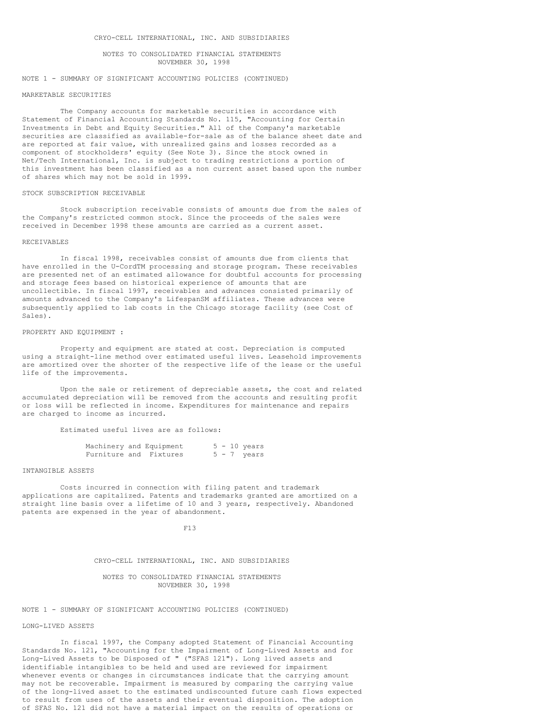## NOTES TO CONSOLIDATED FINANCIAL STATEMENTS NOVEMBER 30, 1998

### NOTE 1 - SUMMARY OF SIGNIFICANT ACCOUNTING POLICIES (CONTINUED)

#### MARKETABLE SECURITIES

The Company accounts for marketable securities in accordance with Statement of Financial Accounting Standards No. 115, "Accounting for Certain Investments in Debt and Equity Securities." All of the Company's marketable securities are classified as available-for-sale as of the balance sheet date and are reported at fair value, with unrealized gains and losses recorded as a component of stockholders' equity (See Note 3). Since the stock owned in Net/Tech International, Inc. is subject to trading restrictions a portion of this investment has been classified as a non current asset based upon the number of shares which may not be sold in 1999.

## STOCK SUBSCRIPTION RECEIVABLE

Stock subscription receivable consists of amounts due from the sales of the Company's restricted common stock. Since the proceeds of the sales were received in December 1998 these amounts are carried as a current asset.

#### RECEIVABLES

In fiscal 1998, receivables consist of amounts due from clients that have enrolled in the U-CordTM processing and storage program. These receivables are presented net of an estimated allowance for doubtful accounts for processing and storage fees based on historical experience of amounts that are uncollectible. In fiscal 1997, receivables and advances consisted primarily of amounts advanced to the Company's LifespanSM affiliates. These advances were subsequently applied to lab costs in the Chicago storage facility (see Cost of Sales).

#### PROPERTY AND EQUIPMENT :

Property and equipment are stated at cost. Depreciation is computed using a straight-line method over estimated useful lives. Leasehold improvements are amortized over the shorter of the respective life of the lease or the useful life of the improvements.

Upon the sale or retirement of depreciable assets, the cost and related accumulated depreciation will be removed from the accounts and resulting profit or loss will be reflected in income. Expenditures for maintenance and repairs are charged to income as incurred.

Estimated useful lives are as follows:

|  | Machinery and Equipment |  | $5 - 10$ years |
|--|-------------------------|--|----------------|
|  | Furniture and Fixtures  |  | $5 - 7$ years  |

#### INTANGIBLE ASSETS

Costs incurred in connection with filing patent and trademark applications are capitalized. Patents and trademarks granted are amortized on a straight line basis over a lifetime of 10 and 3 years, respectively. Abandoned patents are expensed in the year of abandonment.

## F13

## CRYO-CELL INTERNATIONAL, INC. AND SUBSIDIARIES

#### NOTES TO CONSOLIDATED FINANCIAL STATEMENTS NOVEMBER 30, 1998

## NOTE 1 - SUMMARY OF SIGNIFICANT ACCOUNTING POLICIES (CONTINUED)

## LONG-LIVED ASSETS

In fiscal 1997, the Company adopted Statement of Financial Accounting Standards No. 121, "Accounting for the Impairment of Long-Lived Assets and for Long-Lived Assets to be Disposed of " ("SFAS 121"). Long lived assets and identifiable intangibles to be held and used are reviewed for impairment whenever events or changes in circumstances indicate that the carrying amount may not be recoverable. Impairment is measured by comparing the carrying value of the long-lived asset to the estimated undiscounted future cash flows expected to result from uses of the assets and their eventual disposition. The adoption of SFAS No. 121 did not have a material impact on the results of operations or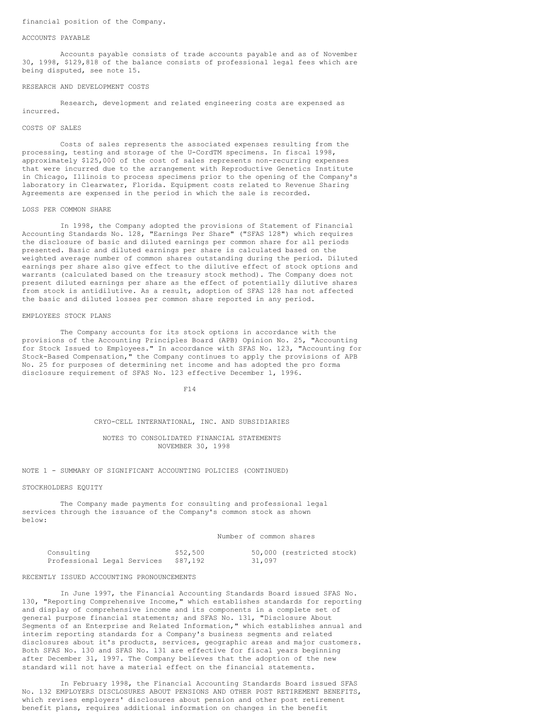## financial position of the Company.

#### ACCOUNTS PAYABLE

Accounts payable consists of trade accounts payable and as of November 30, 1998, \$129,818 of the balance consists of professional legal fees which are being disputed, see note 15.

#### RESEARCH AND DEVELOPMENT COSTS

Research, development and related engineering costs are expensed as incurred.

#### COSTS OF SALES

Costs of sales represents the associated expenses resulting from the processing, testing and storage of the U-CordTM specimens. In fiscal 1998, approximately \$125,000 of the cost of sales represents non-recurring expenses that were incurred due to the arrangement with Reproductive Genetics Institute in Chicago, Illinois to process specimens prior to the opening of the Company's laboratory in Clearwater, Florida. Equipment costs related to Revenue Sharing Agreements are expensed in the period in which the sale is recorded.

#### LOSS PER COMMON SHARE

In 1998, the Company adopted the provisions of Statement of Financial Accounting Standards No. 128, "Earnings Per Share" ("SFAS 128") which requires the disclosure of basic and diluted earnings per common share for all periods presented. Basic and diluted earnings per share is calculated based on the weighted average number of common shares outstanding during the period. Diluted earnings per share also give effect to the dilutive effect of stock options and warrants (calculated based on the treasury stock method). The Company does not present diluted earnings per share as the effect of potentially dilutive shares from stock is antidilutive. As a result, adoption of SFAS 128 has not affected the basic and diluted losses per common share reported in any period.

#### EMPLOYEES STOCK PLANS

The Company accounts for its stock options in accordance with the provisions of the Accounting Principles Board (APB) Opinion No. 25, "Accounting for Stock Issued to Employees." In accordance with SFAS No. 123, "Accounting for Stock-Based Compensation," the Company continues to apply the provisions of APB No. 25 for purposes of determining net income and has adopted the pro forma disclosure requirement of SFAS No. 123 effective December 1, 1996.

F14

## CRYO-CELL INTERNATIONAL, INC. AND SUBSIDIARIES

## NOTES TO CONSOLIDATED FINANCIAL STATEMENTS NOVEMBER 30, 1998

NOTE 1 - SUMMARY OF SIGNIFICANT ACCOUNTING POLICIES (CONTINUED)

#### STOCKHOLDERS EQUITY

The Company made payments for consulting and professional legal services through the issuance of the Company's common stock as shown below:

#### Number of common shares

| Consulting                           | \$52,500 |        | 50,000 (restricted stock) |
|--------------------------------------|----------|--------|---------------------------|
| Professional Legal Services \$87,192 |          | 31,097 |                           |

#### RECENTLY ISSUED ACCOUNTING PRONOUNCEMENTS

In June 1997, the Financial Accounting Standards Board issued SFAS No. 130, "Reporting Comprehensive Income," which establishes standards for reporting and display of comprehensive income and its components in a complete set of general purpose financial statements; and SFAS No. 131, "Disclosure About Segments of an Enterprise and Related Information," which establishes annual and interim reporting standards for a Company's business segments and related disclosures about it's products, services, geographic areas and major customers. Both SFAS No. 130 and SFAS No. 131 are effective for fiscal years beginning after December 31, 1997. The Company believes that the adoption of the new standard will not have a material effect on the financial statements.

In February 1998, the Financial Accounting Standards Board issued SFAS No. 132 EMPLOYERS DISCLOSURES ABOUT PENSIONS AND OTHER POST RETIREMENT BENEFITS, which revises employers' disclosures about pension and other post retirement benefit plans, requires additional information on changes in the benefit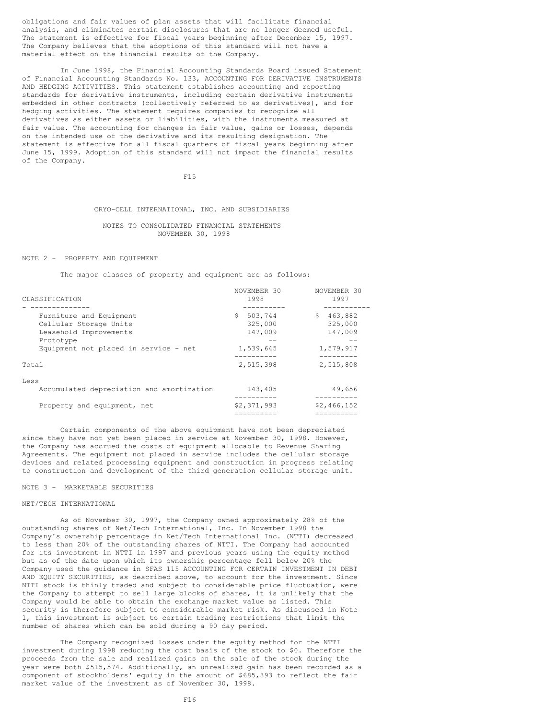obligations and fair values of plan assets that will facilitate financial analysis, and eliminates certain disclosures that are no longer deemed useful. The statement is effective for fiscal years beginning after December 15, 1997. The Company believes that the adoptions of this standard will not have a material effect on the financial results of the Company.

In June 1998, the Financial Accounting Standards Board issued Statement of Financial Accounting Standards No. 133, ACCOUNTING FOR DERIVATIVE INSTRUMENTS AND HEDGING ACTIVITIES. This statement establishes accounting and reporting standards for derivative instruments, including certain derivative instruments embedded in other contracts (collectively referred to as derivatives), and for hedging activities. The statement requires companies to recognize all derivatives as either assets or liabilities, with the instruments measured at fair value. The accounting for changes in fair value, gains or losses, depends on the intended use of the derivative and its resulting designation. The statement is effective for all fiscal quarters of fiscal years beginning after June 15, 1999. Adoption of this standard will not impact the financial results of the Company.

F15

# CRYO-CELL INTERNATIONAL, INC. AND SUBSIDIARIES

## NOTES TO CONSOLIDATED FINANCIAL STATEMENTS NOVEMBER 30, 1998

## NOTE 2 - PROPERTY AND EQUIPMENT

The major classes of property and equipment are as follows:

| CLASSIFICATION                                                                                                                             | NOVEMBER 30<br>1998                                           | NOVEMBER 30<br>1997                                                 |
|--------------------------------------------------------------------------------------------------------------------------------------------|---------------------------------------------------------------|---------------------------------------------------------------------|
|                                                                                                                                            |                                                               |                                                                     |
| Furniture and Equipment<br>Cellular Storage Units<br>Leasehold Improvements<br>Prototype<br>Equipment not placed in service - net<br>Total | \$<br>503,744<br>325,000<br>147,009<br>1,539,645<br>2,515,398 | 463,882<br>S.<br>325,000<br>147,009<br>--<br>1,579,917<br>2,515,808 |
| Less<br>Accumulated depreciation and amortization                                                                                          | 143,405                                                       | 49,656                                                              |
| Property and equipment, net                                                                                                                | \$2,371,993                                                   | \$2,466,152                                                         |

Certain components of the above equipment have not been depreciated since they have not yet been placed in service at November 30, 1998. However, the Company has accrued the costs of equipment allocable to Revenue Sharing Agreements. The equipment not placed in service includes the cellular storage devices and related processing equipment and construction in progress relating to construction and development of the third generation cellular storage unit.

## NOTE 3 - MARKETABLE SECURITIES

## NET/TECH INTERNATIONAL

As of November 30, 1997, the Company owned approximately 28% of the outstanding shares of Net/Tech International, Inc. In November 1998 the Company's ownership percentage in Net/Tech International Inc. (NTTI) decreased to less than 20% of the outstanding shares of NTTI. The Company had accounted for its investment in NTTI in 1997 and previous years using the equity method but as of the date upon which its ownership percentage fell below 20% the Company used the guidance in SFAS 115 ACCOUNTING FOR CERTAIN INVESTMENT IN DEBT AND EQUITY SECURITIES, as described above, to account for the investment. Since NTTI stock is thinly traded and subject to considerable price fluctuation, were the Company to attempt to sell large blocks of shares, it is unlikely that the Company would be able to obtain the exchange market value as listed. This security is therefore subject to considerable market risk. As discussed in Note 1, this investment is subject to certain trading restrictions that limit the number of shares which can be sold during a 90 day period.

The Company recognized losses under the equity method for the NTTI investment during 1998 reducing the cost basis of the stock to \$0. Therefore the proceeds from the sale and realized gains on the sale of the stock during the year were both \$515,574. Additionally, an unrealized gain has been recorded as a component of stockholders' equity in the amount of \$685,393 to reflect the fair market value of the investment as of November 30, 1998.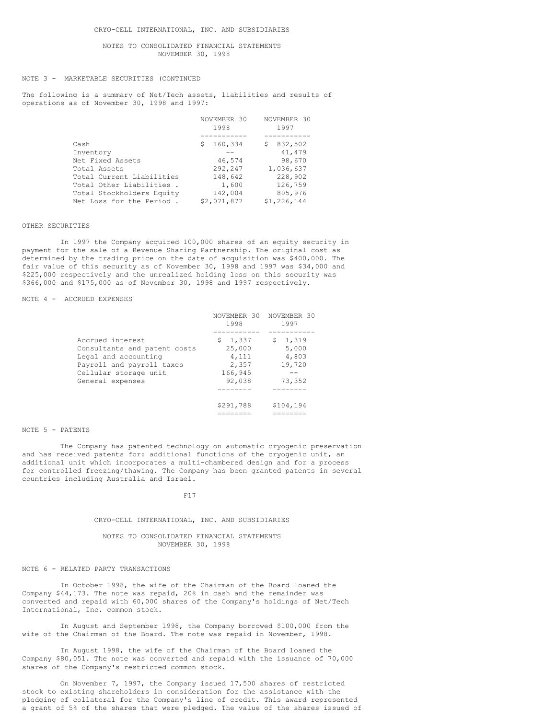NOTES TO CONSOLIDATED FINANCIAL STATEMENTS NOVEMBER 30, 1998

## NOTE 3 - MARKETABLE SECURITIES (CONTINUED

The following is a summary of Net/Tech assets, liabilities and results of operations as of November 30, 1998 and 1997:

|                           | NOVEMBER 30<br>1998 | NOVEMBER 30<br>1997 |
|---------------------------|---------------------|---------------------|
|                           |                     |                     |
| Cash                      | 160,334<br>s        | 832,502<br>S        |
| Inventory                 |                     | 41,479              |
| Net Fixed Assets          | 46,574              | 98,670              |
| Total Assets              | 292,247             | 1,036,637           |
| Total Current Liabilities | 148,642             | 228,902             |
| Total Other Liabilities.  | 1,600               | 126,759             |
| Total Stockholders Equity | 142,004             | 805,976             |
| Net Loss for the Period.  | \$2,071,877         | \$1,226,144         |

## OTHER SECURITIES

In 1997 the Company acquired 100,000 shares of an equity security in payment for the sale of a Revenue Sharing Partnership. The original cost as determined by the trading price on the date of acquisition was \$400,000. The fair value of this security as of November 30, 1998 and 1997 was \$34,000 and \$225,000 respectively and the unrealized holding loss on this security was \$366,000 and \$175,000 as of November 30, 1998 and 1997 respectively.

## NOTE 4 - ACCRUED EXPENSES

|                              | NOVEMBER 30<br>1998 | NOVEMBER 30<br>1997 |
|------------------------------|---------------------|---------------------|
|                              |                     |                     |
| Accrued interest             | \$1,337             | 1,319<br>Ş.         |
| Consultants and patent costs | 25,000              | 5,000               |
| Legal and accounting         | 4,111               | 4,803               |
| Payroll and payroll taxes    | 2,357               | 19,720              |
| Cellular storage unit        | 166,945             |                     |
| General expenses             | 92,038              | 73,352              |
|                              |                     |                     |
|                              | \$291,788           | \$104,194           |
|                              |                     |                     |

### NOTE 5 - PATENTS

The Company has patented technology on automatic cryogenic preservation and has received patents for: additional functions of the cryogenic unit, an additional unit which incorporates a multi-chambered design and for a process for controlled freezing/thawing. The Company has been granted patents in several countries including Australia and Israel.

### F17

## CRYO-CELL INTERNATIONAL, INC. AND SUBSIDIARIES

## NOTES TO CONSOLIDATED FINANCIAL STATEMENTS NOVEMBER 30, 1998

## NOTE 6 - RELATED PARTY TRANSACTIONS

In October 1998, the wife of the Chairman of the Board loaned the Company \$44,173. The note was repaid, 20% in cash and the remainder was converted and repaid with 60,000 shares of the Company's holdings of Net/Tech International, Inc. common stock.

In August and September 1998, the Company borrowed \$100,000 from the wife of the Chairman of the Board. The note was repaid in November, 1998.

In August 1998, the wife of the Chairman of the Board loaned the Company \$80,051. The note was converted and repaid with the issuance of 70,000 shares of the Company's restricted common stock.

On November 7, 1997, the Company issued 17,500 shares of restricted stock to existing shareholders in consideration for the assistance with the pledging of collateral for the Company's line of credit. This award represented a grant of 5% of the shares that were pledged. The value of the shares issued of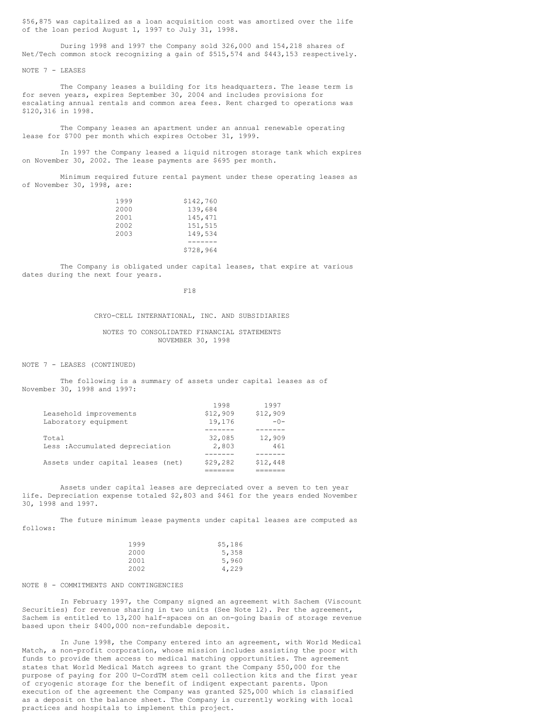\$56,875 was capitalized as a loan acquisition cost was amortized over the life of the loan period August 1, 1997 to July 31, 1998.

During 1998 and 1997 the Company sold 326,000 and 154,218 shares of Net/Tech common stock recognizing a gain of \$515,574 and \$443,153 respectively.

NOTE 7 - LEASES

The Company leases a building for its headquarters. The lease term is for seven years, expires September 30, 2004 and includes provisions for escalating annual rentals and common area fees. Rent charged to operations was \$120,316 in 1998.

The Company leases an apartment under an annual renewable operating lease for \$700 per month which expires October 31, 1999.

In 1997 the Company leased a liquid nitrogen storage tank which expires on November 30, 2002. The lease payments are \$695 per month.

Minimum required future rental payment under these operating leases as of November 30, 1998, are:

| 1999 | \$142,760 |
|------|-----------|
| 2000 | 139,684   |
| 2001 | 145,471   |
| 2002 | 151,515   |
| 2003 | 149,534   |
|      |           |
|      | \$728,964 |

The Company is obligated under capital leases, that expire at various dates during the next four years.

F18

CRYO-CELL INTERNATIONAL, INC. AND SUBSIDIARIES

NOTES TO CONSOLIDATED FINANCIAL STATEMENTS NOVEMBER 30, 1998

1998 1997

NOTE 7 - LEASES (CONTINUED)

The following is a summary of assets under capital leases as of November 30, 1998 and 1997:

| Assets under capital leases (net)       | \$29,282        | \$12,448      |
|-----------------------------------------|-----------------|---------------|
|                                         |                 |               |
| Total<br>Less: Accumulated depreciation | 32,085<br>2,803 | 12,909<br>461 |
|                                         |                 |               |
| Laboratory equipment                    | 19,176          | $-0-$         |
| Leasehold improvements                  | \$12,909        | \$12,909      |
|                                         | 1998            | 1997          |

Assets under capital leases are depreciated over a seven to ten year life. Depreciation expense totaled \$2,803 and \$461 for the years ended November 30, 1998 and 1997.

The future minimum lease payments under capital leases are computed as follows:

| 1999 | \$5,186 |
|------|---------|
| 2000 | 5,358   |
| 2001 | 5,960   |
| 2002 | 4,229   |

## NOTE 8 - COMMITMENTS AND CONTINGENCIES

In February 1997, the Company signed an agreement with Sachem (Viscount Securities) for revenue sharing in two units (See Note 12). Per the agreement, Sachem is entitled to 13,200 half-spaces on an on-going basis of storage revenue based upon their \$400,000 non-refundable deposit.

In June 1998, the Company entered into an agreement, with World Medical Match, a non-profit corporation, whose mission includes assisting the poor with funds to provide them access to medical matching opportunities. The agreement states that World Medical Match agrees to grant the Company \$50,000 for the purpose of paying for 200 U-CordTM stem cell collection kits and the first year of cryogenic storage for the benefit of indigent expectant parents. Upon execution of the agreement the Company was granted \$25,000 which is classified as a deposit on the balance sheet. The Company is currently working with local practices and hospitals to implement this project.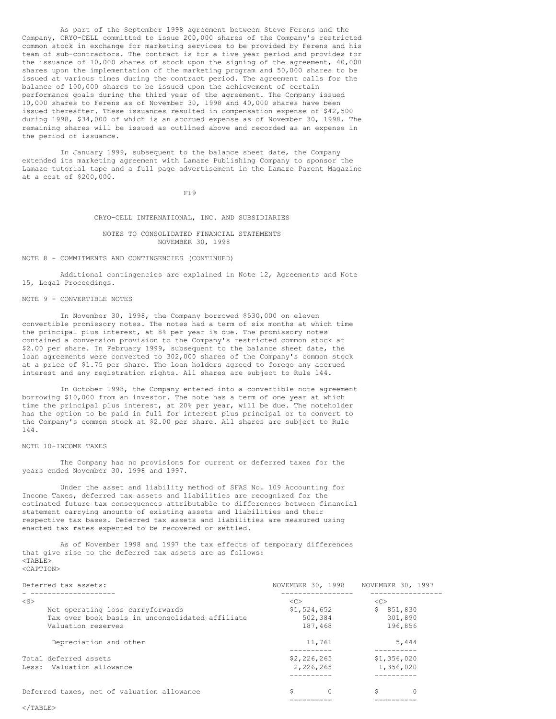As part of the September 1998 agreement between Steve Ferens and the Company, CRYO-CELL committed to issue 200,000 shares of the Company's restricted common stock in exchange for marketing services to be provided by Ferens and his team of sub-contractors. The contract is for a five year period and provides for the issuance of 10,000 shares of stock upon the signing of the agreement, 40,000 shares upon the implementation of the marketing program and 50,000 shares to be issued at various times during the contract period. The agreement calls for the balance of 100,000 shares to be issued upon the achievement of certain performance goals during the third year of the agreement. The Company issued 10,000 shares to Ferens as of November 30, 1998 and 40,000 shares have been issued thereafter. These issuances resulted in compensation expense of \$42,500 during 1998, \$34,000 of which is an accrued expense as of November 30, 1998. The remaining shares will be issued as outlined above and recorded as an expense in the period of issuance.

In January 1999, subsequent to the balance sheet date, the Company extended its marketing agreement with Lamaze Publishing Company to sponsor the Lamaze tutorial tape and a full page advertisement in the Lamaze Parent Magazine at a cost of \$200,000.

F19

#### CRYO-CELL INTERNATIONAL, INC. AND SUBSIDIARIES

## NOTES TO CONSOLIDATED FINANCIAL STATEMENTS NOVEMBER 30, 1998

#### NOTE 8 - COMMITMENTS AND CONTINGENCIES (CONTINUED)

Additional contingencies are explained in Note 12, Agreements and Note 15, Legal Proceedings.

## NOTE 9 - CONVERTIBLE NOTES

In November 30, 1998, the Company borrowed \$530,000 on eleven convertible promissory notes. The notes had a term of six months at which time the principal plus interest, at 8% per year is due. The promissory notes contained a conversion provision to the Company's restricted common stock at \$2.00 per share. In February 1999, subsequent to the balance sheet date, the loan agreements were converted to 302,000 shares of the Company's common stock at a price of \$1.75 per share. The loan holders agreed to forego any accrued interest and any registration rights. All shares are subject to Rule 144.

In October 1998, the Company entered into a convertible note agreement borrowing \$10,000 from an investor. The note has a term of one year at which time the principal plus interest, at 20% per year, will be due. The noteholder has the option to be paid in full for interest plus principal or to convert to the Company's common stock at \$2.00 per share. All shares are subject to Rule 144.

## NOTE 10-INCOME TAXES

The Company has no provisions for current or deferred taxes for the years ended November 30, 1998 and 1997.

Under the asset and liability method of SFAS No. 109 Accounting for Income Taxes, deferred tax assets and liabilities are recognized for the estimated future tax consequences attributable to differences between financial statement carrying amounts of existing assets and liabilities and their respective tax bases. Deferred tax assets and liabilities are measured using enacted tax rates expected to be recovered or settled.

As of November 1998 and 1997 the tax effects of temporary differences that give rise to the deferred tax assets are as follows: <TABLE> <CAPTION>

| Deferred tax assets:                            | NOVEMBER 30, 1998 | NOVEMBER 30, 1997 |
|-------------------------------------------------|-------------------|-------------------|
| $<$ S>                                          | < <sub></sub>     | < <sub></sub>     |
| Net operating loss carryforwards                | \$1,524,652       | 851,830<br>S.     |
| Tax over book basis in unconsolidated affiliate | 502,384           | 301,890           |
| Valuation reserves                              | 187.468           | 196,856           |
| Depreciation and other                          | 11,761            | 5,444             |
| Total deferred assets                           | \$2,226,265       | \$1,356,020       |
| Less: Valuation allowance                       | 2,226,265         | 1,356,020         |
|                                                 |                   |                   |
| Deferred taxes, net of valuation allowance      |                   |                   |

========== ==========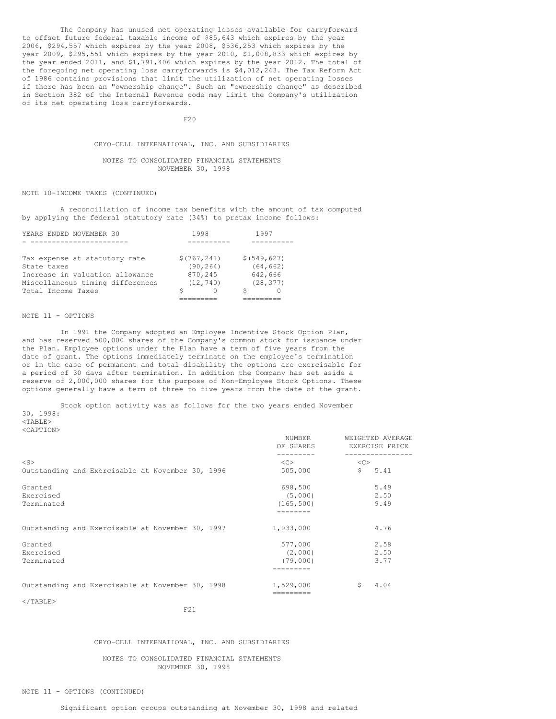The Company has unused net operating losses available for carryforward to offset future federal taxable income of \$85,643 which expires by the year 2006, \$294,557 which expires by the year 2008, \$536,253 which expires by the year 2009, \$295,551 which expires by the year 2010, \$1,008,833 which expires by the year ended 2011, and \$1,791,406 which expires by the year 2012. The total of the foregoing net operating loss carryforwards is \$4,012,243. The Tax Reform Act of 1986 contains provisions that limit the utilization of net operating losses if there has been an "ownership change". Such an "ownership change" as described in Section 382 of the Internal Revenue code may limit the Company's utilization of its net operating loss carryforwards.

 $F20$ 

## CRYO-CELL INTERNATIONAL, INC. AND SUBSIDIARIES

## NOTES TO CONSOLIDATED FINANCIAL STATEMENTS NOVEMBER 30, 1998

## NOTE 10-INCOME TAXES (CONTINUED)

A reconciliation of income tax benefits with the amount of tax computed by applying the federal statutory rate (34%) to pretax income follows:

| YEARS ENDED NOVEMBER 30                                | 1998                      | 1997                       |
|--------------------------------------------------------|---------------------------|----------------------------|
|                                                        |                           |                            |
| Tax expense at statutory rate<br>State taxes           | \$(767, 241)<br>(90, 264) | \$ (549, 627)<br>(64, 662) |
| Increase in valuation allowance                        | 870,245                   | 642,666                    |
| Miscellaneous timing differences<br>Total Income Taxes | (12, 740)                 | (28, 377)                  |
|                                                        |                           |                            |

## NOTE 11 - OPTIONS

In 1991 the Company adopted an Employee Incentive Stock Option Plan, and has reserved 500,000 shares of the Company's common stock for issuance under the Plan. Employee options under the Plan have a term of five years from the date of grant. The options immediately terminate on the employee's termination or in the case of permanent and total disability the options are exercisable for a period of 30 days after termination. In addition the Company has set aside a reserve of 2,000,000 shares for the purpose of Non-Employee Stock Options. These options generally have a term of three to five years from the date of the grant.

Stock option activity was as follows for the two years ended November 30, 1998: <TABLE>

<CAPTION>

|                                                  | NUMBER<br>OF SHARES | WEIGHTED AVERAGE<br>EXERCISE PRICE |
|--------------------------------------------------|---------------------|------------------------------------|
| $<$ S $>$                                        | <<>                 | <<                                 |
| Outstanding and Exercisable at November 30, 1996 | 505,000             | $\mathsf{S}^-$<br>5.41             |
| Granted                                          | 698,500             | 5.49                               |
| Exercised                                        | (5,000)             | 2.50                               |
| Terminated                                       | (165, 500)          | 9.49                               |
|                                                  |                     |                                    |
| Outstanding and Exercisable at November 30, 1997 | 1,033,000           | 4.76                               |
| Granted                                          | 577,000             | 2.58                               |
| Exercised                                        | (2,000)             | 2.50                               |
| Terminated                                       | (79,000)            | 3.77                               |
|                                                  |                     |                                    |
| Outstanding and Exercisable at November 30, 1998 | 1,529,000           | \$<br>4.04                         |
|                                                  |                     |                                    |
| $<$ /TABLE>                                      |                     |                                    |
| F21                                              |                     |                                    |

CRYO-CELL INTERNATIONAL, INC. AND SUBSIDIARIES

## NOTES TO CONSOLIDATED FINANCIAL STATEMENTS NOVEMBER 30, 1998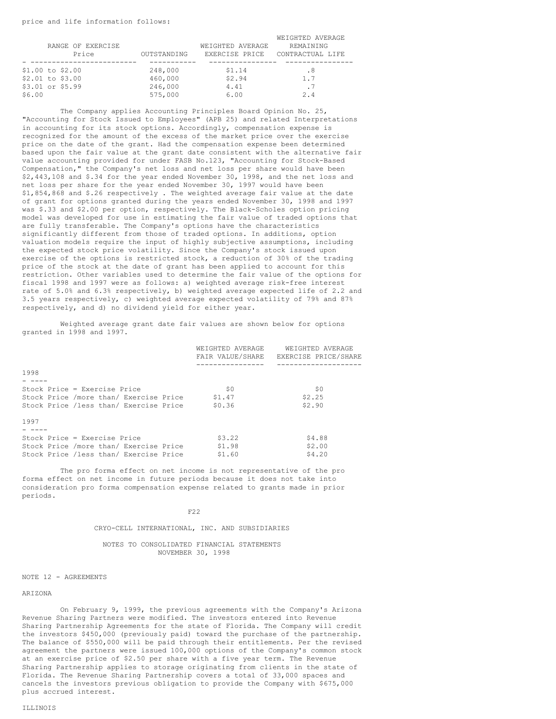|        |                   |             |                  | WEIGHTED AVERAGE |
|--------|-------------------|-------------|------------------|------------------|
|        | RANGE OF EXERCISE |             | WEIGHTED AVERAGE | REMAINING        |
|        | Price             | OUTSTANDING | EXERCISE PRICE   | CONTRACTUAL LIFE |
|        |                   |             |                  |                  |
|        | \$1.00 to \$2.00  | 248,000     | \$1.14           | .8               |
|        | \$2.01 to \$3.00  | 460,000     | \$2.94           | 1.7              |
|        | \$3.01 or \$5.99  | 246,000     | 4.41             | . 7              |
| \$6.00 |                   | 575,000     | 6.00             | 2.4              |

The Company applies Accounting Principles Board Opinion No. 25, "Accounting for Stock Issued to Employees" (APB 25) and related Interpretations in accounting for its stock options. Accordingly, compensation expense is recognized for the amount of the excess of the market price over the exercise price on the date of the grant. Had the compensation expense been determined based upon the fair value at the grant date consistent with the alternative fair value accounting provided for under FASB No.123, "Accounting for Stock-Based Compensation," the Company's net loss and net loss per share would have been \$2,443,108 and \$.34 for the year ended November 30, 1998, and the net loss and net loss per share for the year ended November 30, 1997 would have been \$1,854,868 and \$.26 respectively . The weighted average fair value at the date of grant for options granted during the years ended November 30, 1998 and 1997 was \$.33 and \$2.00 per option, respectively. The Black-Scholes option pricing model was developed for use in estimating the fair value of traded options that are fully transferable. The Company's options have the characteristics significantly different from those of traded options. In additions, option valuation models require the input of highly subjective assumptions, including the expected stock price volatility. Since the Company's stock issued upon exercise of the options is restricted stock, a reduction of 30% of the trading price of the stock at the date of grant has been applied to account for this restriction. Other variables used to determine the fair value of the options for fiscal 1998 and 1997 were as follows: a) weighted average risk-free interest rate of 5.0% and 6.3% respectively, b) weighted average expected life of 2.2 and 3.5 years respectively, c) weighted average expected volatility of 79% and 87% respectively, and d) no dividend yield for either year.

Weighted average grant date fair values are shown below for options granted in 1998 and 1997.

|                                        | WEIGHTED AVERAGE | WEIGHTED AVERAGE     |
|----------------------------------------|------------------|----------------------|
|                                        | FAIR VALUE/SHARE | EXERCISE PRICE/SHARE |
|                                        |                  |                      |
| 1998                                   |                  |                      |
|                                        |                  |                      |
| Stock Price = Exercise Price           | \$0              | \$0                  |
| Stock Price /more than/ Exercise Price | \$1.47           | \$2.25               |
| Stock Price /less than/ Exercise Price | \$0.36           | \$2.90               |
| 1997                                   |                  |                      |
|                                        |                  |                      |
| Stock Price = Exercise Price           | \$3.22           | \$4.88               |
| Stock Price /more than/ Exercise Price | \$1.98           | \$2.00               |
| Stock Price /less than/ Exercise Price | \$1.60           | \$4.20               |

The pro forma effect on net income is not representative of the pro forma effect on net income in future periods because it does not take into consideration pro forma compensation expense related to grants made in prior periods.

F22

CRYO-CELL INTERNATIONAL, INC. AND SUBSIDIARIES

NOTES TO CONSOLIDATED FINANCIAL STATEMENTS NOVEMBER 30, 1998

#### NOTE 12 - AGREEMENTS

#### ARIZONA

On February 9, 1999, the previous agreements with the Company's Arizona Revenue Sharing Partners were modified. The investors entered into Revenue Sharing Partnership Agreements for the state of Florida. The Company will credit the investors \$450,000 (previously paid) toward the purchase of the partnership. The balance of \$550,000 will be paid through their entitlements. Per the revised agreement the partners were issued 100,000 options of the Company's common stock at an exercise price of \$2.50 per share with a five year term. The Revenue Sharing Partnership applies to storage originating from clients in the state of Florida. The Revenue Sharing Partnership covers a total of 33,000 spaces and cancels the investors previous obligation to provide the Company with \$675,000 plus accrued interest.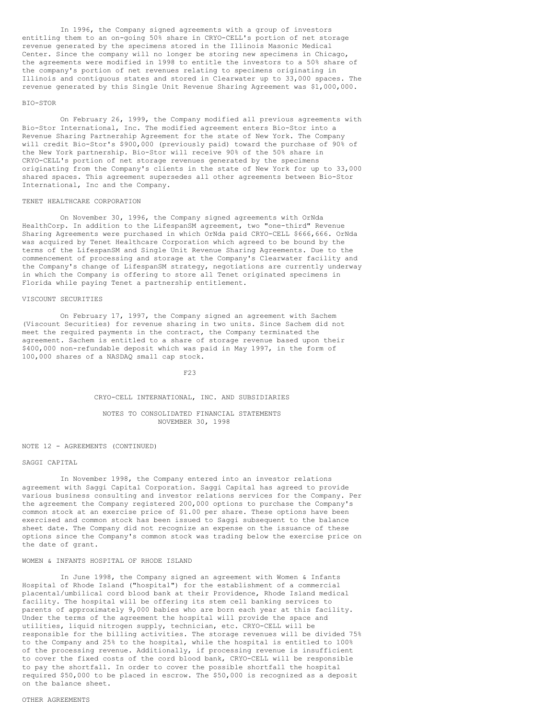In 1996, the Company signed agreements with a group of investors entitling them to an on-going 50% share in CRYO-CELL's portion of net storage revenue generated by the specimens stored in the Illinois Masonic Medical Center. Since the company will no longer be storing new specimens in Chicago, the agreements were modified in 1998 to entitle the investors to a 50% share of the company's portion of net revenues relating to specimens originating in Illinois and contiguous states and stored in Clearwater up to 33,000 spaces. The revenue generated by this Single Unit Revenue Sharing Agreement was \$1,000,000.

## BIO-STOR

On February 26, 1999, the Company modified all previous agreements with Bio-Stor International, Inc. The modified agreement enters Bio-Stor into a Revenue Sharing Partnership Agreement for the state of New York. The Company will credit Bio-Stor's \$900,000 (previously paid) toward the purchase of 90% of the New York partnership. Bio-Stor will receive 90% of the 50% share in CRYO-CELL's portion of net storage revenues generated by the specimens originating from the Company's clients in the state of New York for up to 33,000 shared spaces. This agreement supersedes all other agreements between Bio-Stor International, Inc and the Company.

#### TENET HEALTHCARE CORPORATION

On November 30, 1996, the Company signed agreements with OrNda HealthCorp. In addition to the LifespanSM agreement, two "one-third" Revenue Sharing Agreements were purchased in which OrNda paid CRYO-CELL \$666,666. OrNda was acquired by Tenet Healthcare Corporation which agreed to be bound by the terms of the LifespanSM and Single Unit Revenue Sharing Agreements. Due to the commencement of processing and storage at the Company's Clearwater facility and the Company's change of LifespanSM strategy, negotiations are currently underway in which the Company is offering to store all Tenet originated specimens in Florida while paying Tenet a partnership entitlement.

## VISCOUNT SECURITIES

On February 17, 1997, the Company signed an agreement with Sachem (Viscount Securities) for revenue sharing in two units. Since Sachem did not meet the required payments in the contract, the Company terminated the agreement. Sachem is entitled to a share of storage revenue based upon their \$400,000 non-refundable deposit which was paid in May 1997, in the form of 100,000 shares of a NASDAQ small cap stock.

#### F23

#### CRYO-CELL INTERNATIONAL, INC. AND SUBSIDIARIES

## NOTES TO CONSOLIDATED FINANCIAL STATEMENTS NOVEMBER 30, 1998

## NOTE 12 - AGREEMENTS (CONTINUED)

## SAGGI CAPITAL

In November 1998, the Company entered into an investor relations agreement with Saggi Capital Corporation. Saggi Capital has agreed to provide various business consulting and investor relations services for the Company. Per the agreement the Company registered 200,000 options to purchase the Company's common stock at an exercise price of \$1.00 per share. These options have been exercised and common stock has been issued to Saggi subsequent to the balance sheet date. The Company did not recognize an expense on the issuance of these options since the Company's common stock was trading below the exercise price on the date of grant.

## WOMEN & INFANTS HOSPITAL OF RHODE ISLAND

In June 1998, the Company signed an agreement with Women & Infants Hospital of Rhode Island ("hospital") for the establishment of a commercial placental/umbilical cord blood bank at their Providence, Rhode Island medical facility. The hospital will be offering its stem cell banking services to parents of approximately 9,000 babies who are born each year at this facility. Under the terms of the agreement the hospital will provide the space and utilities, liquid nitrogen supply, technician, etc. CRYO-CELL will be responsible for the billing activities. The storage revenues will be divided 75% to the Company and 25% to the hospital, while the hospital is entitled to 100% of the processing revenue. Additionally, if processing revenue is insufficient to cover the fixed costs of the cord blood bank, CRYO-CELL will be responsible to pay the shortfall. In order to cover the possible shortfall the hospital required \$50,000 to be placed in escrow. The \$50,000 is recognized as a deposit on the balance sheet.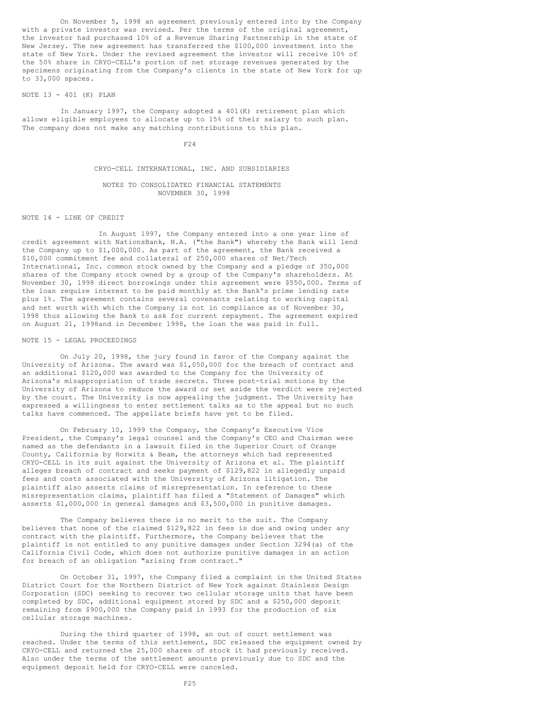On November 5, 1998 an agreement previously entered into by the Company with a private investor was revised. Per the terms of the original agreement, the investor had purchased 10% of a Revenue Sharing Partnership in the state of New Jersey. The new agreement has transferred the \$100,000 investment into the state of New York. Under the revised agreement the investor will receive 10% of the 50% share in CRYO-CELL's portion of net storage revenues generated by the specimens originating from the Company's clients in the state of New York for up to 33,000 spaces.

## NOTE 13 - 401 (K) PLAN

In January 1997, the Company adopted a 401(K) retirement plan which allows eligible employees to allocate up to 15% of their salary to such plan. The company does not make any matching contributions to this plan.

F24

## CRYO-CELL INTERNATIONAL, INC. AND SUBSIDIARIES

NOTES TO CONSOLIDATED FINANCIAL STATEMENTS NOVEMBER 30, 1998

NOTE 14 - LINE OF CREDIT

In August 1997, the Company entered into a one year line of credit agreement with NationsBank, N.A. ("the Bank") whereby the Bank will lend the Company up to \$1,000,000. As part of the agreement, the Bank received a \$10,000 commitment fee and collateral of 250,000 shares of Net/Tech International, Inc. common stock owned by the Company and a pledge of 350,000 shares of the Company stock owned by a group of the Company's shareholders. At November 30, 1998 direct borrowings under this agreement were \$550,000. Terms of the loan require interest to be paid monthly at the Bank's prime lending rate plus 1%. The agreement contains several covenants relating to working capital and net worth with which the Company is not in compliance as of November 30, 1998 thus allowing the Bank to ask for current repayment. The agreement expired on August 21, 1998and in December 1998, the loan the was paid in full.

NOTE 15 - LEGAL PROCEEDINGS

On July 20, 1998, the jury found in favor of the Company against the University of Arizona. The award was \$1,050,000 for the breach of contract and an additional \$120,000 was awarded to the Company for the University of Arizona's misappropriation of trade secrets. Three post-trial motions by the University of Arizona to reduce the award or set aside the verdict were rejected by the court. The University is now appealing the judgment. The University has expressed a willingness to enter settlement talks as to the appeal but no such talks have commenced. The appellate briefs have yet to be filed.

On February 10, 1999 the Company, the Company's Executive Vice President, the Company's legal counsel and the Company's CEO and Chairman were named as the defendants in a lawsuit filed in the Superior Court of Orange County, California by Horwitz & Beam, the attorneys which had represented CRYO-CELL in its suit against the University of Arizona et al. The plaintiff alleges breach of contract and seeks payment of \$129,822 in allegedly unpaid fees and costs associated with the University of Arizona litigation. The plaintiff also asserts claims of misrepresentation. In reference to these misrepresentation claims, plaintiff has filed a "Statement of Damages" which asserts \$1,000,000 in general damages and \$3,500,000 in punitive damages.

The Company believes there is no merit to the suit. The Company believes that none of the claimed \$129,822 in fees is due and owing under any contract with the plaintiff. Furthermore, the Company believes that the plaintiff is not entitled to any punitive damages under Section 3294(a) of the California Civil Code, which does not authorize punitive damages in an action for breach of an obligation "arising from contract."

On October 31, 1997, the Company filed a complaint in the United States District Court for the Northern District of New York against Stainless Design Corporation (SDC) seeking to recover two cellular storage units that have been completed by SDC, additional equipment stored by SDC and a \$250,000 deposit remaining from \$900,000 the Company paid in 1993 for the production of six cellular storage machines.

During the third quarter of 1998, an out of court settlement was reached. Under the terms of this settlement, SDC released the equipment owned by CRYO-CELL and returned the 25,000 shares of stock it had previously received. Also under the terms of the settlement amounts previously due to SDC and the equipment deposit held for CRYO-CELL were canceled.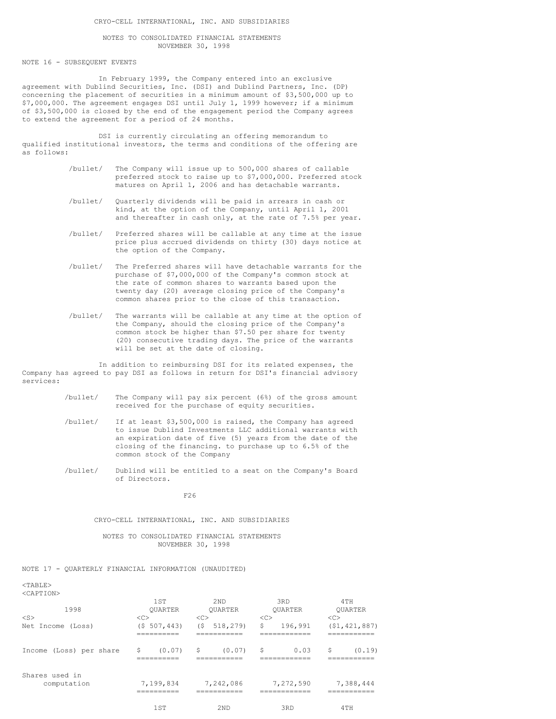#### CRYO-CELL INTERNATIONAL, INC. AND SUBSIDIARIES

## NOTES TO CONSOLIDATED FINANCIAL STATEMENTS NOVEMBER 30, 1998

NOTE 16 - SUBSEQUENT EVENTS

In February 1999, the Company entered into an exclusive agreement with Dublind Securities, Inc. (DSI) and Dublind Partners, Inc. (DP) concerning the placement of securities in a minimum amount of \$3,500,000 up to \$7,000,000. The agreement engages DSI until July 1, 1999 however; if a minimum of \$3,500,000 is closed by the end of the engagement period the Company agrees to extend the agreement for a period of 24 months.

DSI is currently circulating an offering memorandum to qualified institutional investors, the terms and conditions of the offering are as follows:

- /bullet/ The Company will issue up to 500,000 shares of callable preferred stock to raise up to \$7,000,000. Preferred stock matures on April 1, 2006 and has detachable warrants.
- /bullet/ Quarterly dividends will be paid in arrears in cash or kind, at the option of the Company, until April 1, 2001 and thereafter in cash only, at the rate of 7.5% per year.
- /bullet/ Preferred shares will be callable at any time at the issue price plus accrued dividends on thirty (30) days notice at the option of the Company.
- /bullet/ The Preferred shares will have detachable warrants for the purchase of \$7,000,000 of the Company's common stock at the rate of common shares to warrants based upon the twenty day (20) average closing price of the Company's common shares prior to the close of this transaction.
- /bullet/ The warrants will be callable at any time at the option of the Company, should the closing price of the Company's common stock be higher than \$7.50 per share for twenty (20) consecutive trading days. The price of the warrants will be set at the date of closing.

In addition to reimbursing DSI for its related expenses, the Company has agreed to pay DSI as follows in return for DSI's financial advisory services:

- /bullet/ The Company will pay six percent (6%) of the gross amount received for the purchase of equity securities.
- /bullet/ If at least \$3,500,000 is raised, the Company has agreed to issue Dublind Investments LLC additional warrants with an expiration date of five (5) years from the date of the closing of the financing. to purchase up to 6.5% of the common stock of the Company
- /bullet/ Dublind will be entitled to a seat on the Company's Board of Directors.

F26

## CRYO-CELL INTERNATIONAL, INC. AND SUBSIDIARIES

NOTES TO CONSOLIDATED FINANCIAL STATEMENTS NOVEMBER 30, 1998

## NOTE 17 - QUARTERLY FINANCIAL INFORMATION (UNAUDITED)

## $<$ TABLE> <CAPTION>

| NUAE LEUNZ                    | 1ST                                | 2ND                                | 3RD                   | 4TH                  |
|-------------------------------|------------------------------------|------------------------------------|-----------------------|----------------------|
| 1998                          | <b>OUARTER</b>                     | <b>OUARTER</b>                     | <b>OUARTER</b>        | <b>OUARTER</b>       |
| $<$ S><br>Net Income (Loss)   | < <sub><br/>507,443)<br/>(S.</sub> | < <sub><br/>(S)<br/>518,279)</sub> | <<<br>\$<br>196,991   | <<<br>(51, 421, 887) |
|                               |                                    |                                    | ____________          | -----                |
| Income (Loss) per share       | \$<br>(0.07)                       | \$<br>(0.07)                       | \$<br>0.03            | \$<br>(0.19)         |
| Shares used in<br>computation | 7,199,834<br>.                     | 7,242,086<br>.                     | 7,272,590<br>-------- | 7,388,444<br>.       |
|                               | 1ST                                | 2ND                                | 3RD                   | 4TH                  |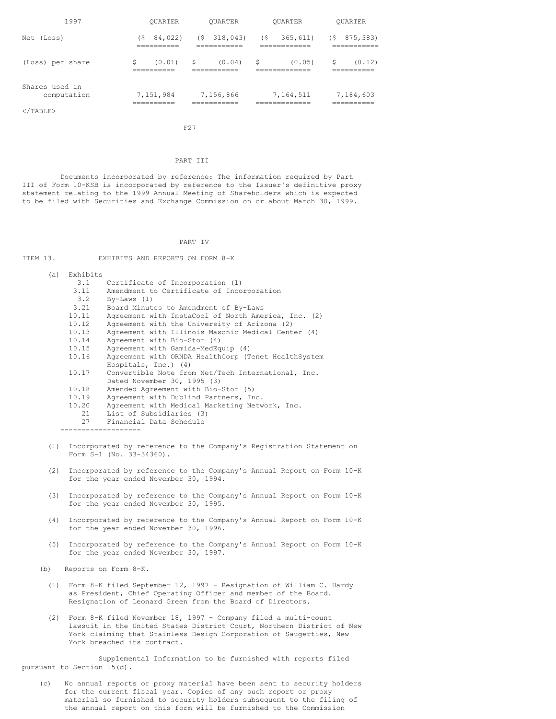| 1997                          | <b>OUARTER</b>                 | OUARTER                         | <b>OUARTER</b>                 | OUARTER                      |
|-------------------------------|--------------------------------|---------------------------------|--------------------------------|------------------------------|
| Net (Loss)                    | 84,022)<br>' S<br>----------   | 318,043)<br>$($ \$<br>========= | 365, 611)<br>(\$<br>========== | 875,383)<br>(\$<br>========  |
| (Loss) per share              | \$<br>(0.01)<br>----------     | S<br>(0.04)<br>========         | S<br>(0.05)<br>========        | \$<br>(0.12)<br>------       |
| Shares used in<br>computation | 7,151,984<br>________<br>----- | 7,156,866<br>_________<br>.     | 7,164,511<br>__________<br>.   | 7,184,603<br>----------<br>. |
| $\langle$ /TABLE>             |                                |                                 |                                |                              |

F27

## PART III

Documents incorporated by reference: The information required by Part III of Form 10-KSB is incorporated by reference to the Issuer's definitive proxy statement relating to the 1999 Annual Meeting of Shareholders which is expected to be filed with Securities and Exchange Commission on or about March 30, 1999.

PART IV ITEM 13. EXHIBITS AND REPORTS ON FORM 8-K (a) Exhibits  $3.1$ 3.1 Certificate of Incorporation (1)<br>3.11 Amendment to Certificate of Inco 3.11 Amendment to Certificate of Incorporation<br>3.2 By-Laws (1) 3.2 By-Laws (1) Board Minutes to Amendment of By-Laws 10.11 Agreement with InstaCool of North America, Inc. (2)<br>10.12 Agreement with the University of Arizona (2) Agreement with the University of Arizona (2) 10.13 Agreement with Illinois Masonic Medical Center (4)<br>10.14 Agreement with Bio-Stor (4) 10.14 Agreement with Bio-Stor (4) Agreement with Gamida-MedEquip (4) 10.16 Agreement with ORNDA HealthCorp (Tenet HealthSystem Hospitals, Inc.) (4) 10.17 Convertible Note from Net/Tech International, Inc. Dated November 30, 1995 (3) 10.18 Amended Agreement with Bio-Stor (5) 10.19 Agreement with Dublind Partners, Inc.<br>10.20 Agreement with Medical Marketing Netw Agreement with Medical Marketing Network, Inc. 21 List of Subsidiaries (3)<br>27 Financial Data Schedule Financial Data Schedule -------------------

- (1) Incorporated by reference to the Company's Registration Statement on Form S-1 (No. 33-34360).
- (2) Incorporated by reference to the Company's Annual Report on Form 10-K for the year ended November 30, 1994.
- (3) Incorporated by reference to the Company's Annual Report on Form 10-K for the year ended November 30, 1995.
- (4) Incorporated by reference to the Company's Annual Report on Form 10-K for the year ended November 30, 1996.
- (5) Incorporated by reference to the Company's Annual Report on Form 10-K for the year ended November 30, 1997.

(b) Reports on Form 8-K.

- (1) Form 8-K filed September 12, 1997 Resignation of William C. Hardy as President, Chief Operating Officer and member of the Board. Resignation of Leonard Green from the Board of Directors.
- (2) Form 8-K filed November 18, 1997 Company filed a multi-count lawsuit in the United States District Court, Northern District of New York claiming that Stainless Design Corporation of Saugerties, New York breached its contract.

Supplemental Information to be furnished with reports filed pursuant to Section 15(d).

(c) No annual reports or proxy material have been sent to security holders for the current fiscal year. Copies of any such report or proxy material so furnished to security holders subsequent to the filing of the annual report on this form will be furnished to the Commission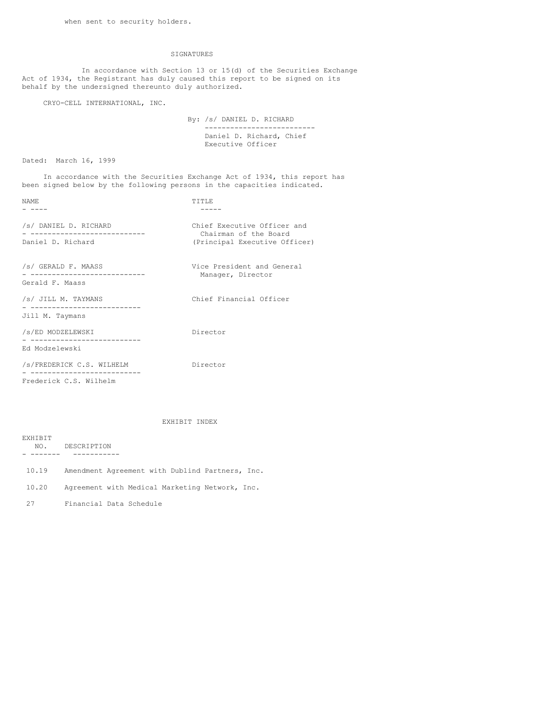## SIGNATURES

In accordance with Section 13 or 15(d) of the Securities Exchange Act of 1934, the Registrant has duly caused this report to be signed on its behalf by the undersigned thereunto duly authorized.

CRYO-CELL INTERNATIONAL, INC.

By: /s/ DANIEL D. RICHARD -------------------------- Daniel D. Richard, Chief Executive Officer

Dated: March 16, 1999

In accordance with the Securities Exchange Act of 1934, this report has been signed below by the following persons in the capacities indicated.

| NAME.                                                                        | TTTLE                                                                                 |
|------------------------------------------------------------------------------|---------------------------------------------------------------------------------------|
| /s/ DANIEL D. RICHARD<br>______________________________<br>Daniel D. Richard | Chief Executive Officer and<br>Chairman of the Board<br>(Principal Executive Officer) |
| /s/ GERALD F. MAASS<br>Gerald F. Maass                                       | Vice President and General<br>Manager, Director                                       |
| /s/ JILL M. TAYMANS                                                          | Chief Financial Officer                                                               |
| Jill M. Taymans                                                              |                                                                                       |
| /s/ED MODZELEWSKI<br>------------------------                                | Director                                                                              |
| Ed Modzelewski                                                               |                                                                                       |
| /s/FREDERICK C.S. WILHELM<br>- --------------------                          | Director                                                                              |
| Frederick C.S. Wilhelm                                                       |                                                                                       |

EXHIBIT INDEX

| EXHTBIT |                                                 |
|---------|-------------------------------------------------|
| NO.     | DESCRIPTION                                     |
|         |                                                 |
| 10.19   | Amendment Agreement with Dublind Partners, Inc. |
| 10.20   | Agreement with Medical Marketing Network, Inc.  |
| 27      | Financial Data Schedule                         |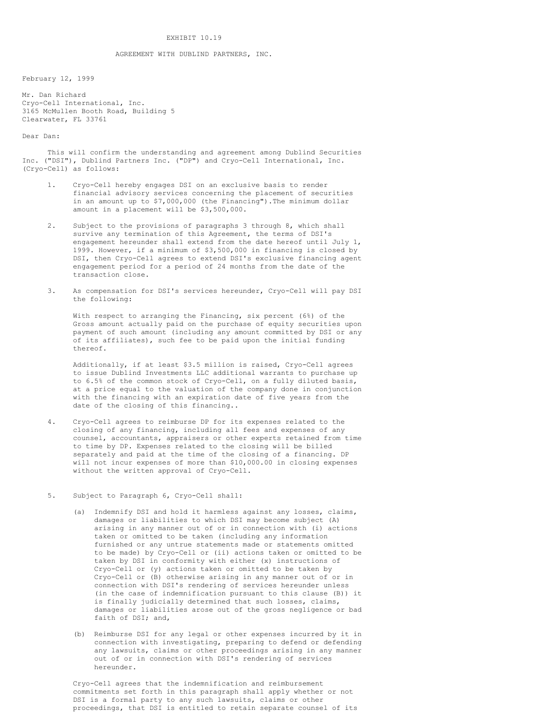#### EXHIBIT 10.19

## AGREEMENT WITH DUBLIND PARTNERS, INC.

February 12, 1999

Mr. Dan Richard Cryo-Cell International, Inc. 3165 McMullen Booth Road, Building 5 Clearwater, FL 33761

Dear Dan:

This will confirm the understanding and agreement among Dublind Securities Inc. ("DSI"), Dublind Partners Inc. ("DP") and Cryo-Cell International, Inc. (Cryo-Cell) as follows:

- 1. Cryo-Cell hereby engages DSI on an exclusive basis to render financial advisory services concerning the placement of securities in an amount up to \$7,000,000 (the Financing"). The minimum dollar amount in a placement will be \$3,500,000.
- 2. Subject to the provisions of paragraphs 3 through 8, which shall survive any termination of this Agreement, the terms of DSI's engagement hereunder shall extend from the date hereof until July 1, 1999. However, if a minimum of \$3,500,000 in financing is closed by DSI, then Cryo-Cell agrees to extend DSI's exclusive financing agent engagement period for a period of 24 months from the date of the transaction close.
- 3. As compensation for DSI's services hereunder, Cryo-Cell will pay DSI the following:

With respect to arranging the Financing, six percent (6%) of the Gross amount actually paid on the purchase of equity securities upon payment of such amount (including any amount committed by DSI or any of its affiliates), such fee to be paid upon the initial funding thereof.

Additionally, if at least \$3.5 million is raised, Cryo-Cell agrees to issue Dublind Investments LLC additional warrants to purchase up to 6.5% of the common stock of Cryo-Cell, on a fully diluted basis, at a price equal to the valuation of the company done in conjunction with the financing with an expiration date of five years from the date of the closing of this financing..

- 4. Cryo-Cell agrees to reimburse DP for its expenses related to the closing of any financing, including all fees and expenses of any counsel, accountants, appraisers or other experts retained from time to time by DP. Expenses related to the closing will be billed separately and paid at the time of the closing of a financing. DP will not incur expenses of more than \$10,000.00 in closing expenses without the written approval of Cryo-Cell.
- 5. Subject to Paragraph 6, Cryo-Cell shall:
	- (a) Indemnify DSI and hold it harmless against any losses, claims, damages or liabilities to which DSI may become subject (A) arising in any manner out of or in connection with (i) actions taken or omitted to be taken (including any information furnished or any untrue statements made or statements omitted to be made) by Cryo-Cell or (ii) actions taken or omitted to be taken by DSI in conformity with either (x) instructions of Cryo-Cell or (y) actions taken or omitted to be taken by Cryo-Cell or (B) otherwise arising in any manner out of or in connection with DSI's rendering of services hereunder unless (in the case of indemnification pursuant to this clause (B)) it is finally judicially determined that such losses, claims, damages or liabilities arose out of the gross negligence or bad faith of DSI; and,
	- (b) Reimburse DSI for any legal or other expenses incurred by it in connection with investigating, preparing to defend or defending any lawsuits, claims or other proceedings arising in any manner out of or in connection with DSI's rendering of services hereunder.

Cryo-Cell agrees that the indemnification and reimbursement commitments set forth in this paragraph shall apply whether or not DSI is a formal party to any such lawsuits, claims or other proceedings, that DSI is entitled to retain separate counsel of its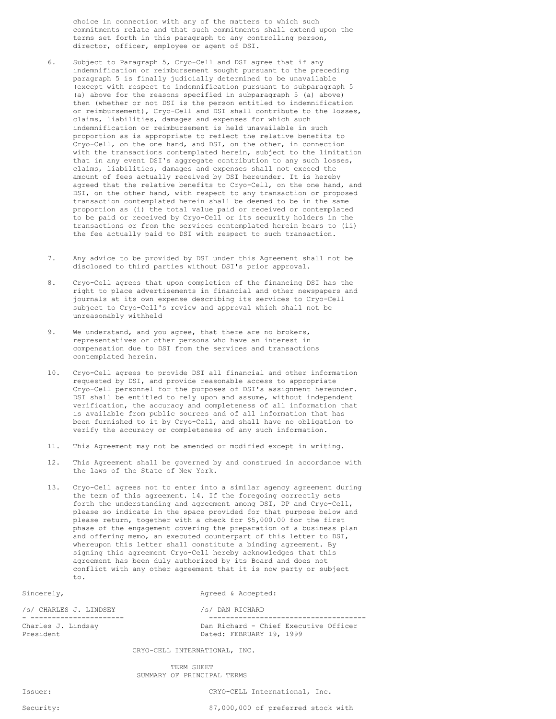choice in connection with any of the matters to which such commitments relate and that such commitments shall extend upon the terms set forth in this paragraph to any controlling person, director, officer, employee or agent of DSI.

- 6. Subject to Paragraph 5, Cryo-Cell and DSI agree that if any indemnification or reimbursement sought pursuant to the preceding paragraph 5 is finally judicially determined to be unavailable (except with respect to indemnification pursuant to subparagraph 5 (a) above for the reasons specified in subparagraph 5 (a) above) then (whether or not DSI is the person entitled to indemnification or reimbursement), Cryo-Cell and DSI shall contribute to the losses, claims, liabilities, damages and expenses for which such indemnification or reimbursement is held unavailable in such proportion as is appropriate to reflect the relative benefits to Cryo-Cell, on the one hand, and DSI, on the other, in connection with the transactions contemplated herein, subject to the limitation that in any event DSI's aggregate contribution to any such losses, claims, liabilities, damages and expenses shall not exceed the amount of fees actually received by DSI hereunder. It is hereby agreed that the relative benefits to Cryo-Cell, on the one hand, and DSI, on the other hand, with respect to any transaction or proposed transaction contemplated herein shall be deemed to be in the same proportion as (i) the total value paid or received or contemplated to be paid or received by Cryo-Cell or its security holders in the transactions or from the services contemplated herein bears to (ii) the fee actually paid to DSI with respect to such transaction.
- 7. Any advice to be provided by DSI under this Agreement shall not be disclosed to third parties without DSI's prior approval.
- 8. Cryo-Cell agrees that upon completion of the financing DSI has the right to place advertisements in financial and other newspapers and journals at its own expense describing its services to Cryo-Cell subject to Cryo-Cell's review and approval which shall not be unreasonably withheld
- 9. We understand, and you agree, that there are no brokers, representatives or other persons who have an interest in compensation due to DSI from the services and transactions contemplated herein.
- 10. Cryo-Cell agrees to provide DSI all financial and other information requested by DSI, and provide reasonable access to appropriate Cryo-Cell personnel for the purposes of DSI's assignment hereunder. DSI shall be entitled to rely upon and assume, without independent verification, the accuracy and completeness of all information that is available from public sources and of all information that has been furnished to it by Cryo-Cell, and shall have no obligation to verify the accuracy or completeness of any such information.
- 11. This Agreement may not be amended or modified except in writing.
- 12. This Agreement shall be governed by and construed in accordance with the laws of the State of New York.
- 13. Cryo-Cell agrees not to enter into a similar agency agreement during the term of this agreement. 14. If the foregoing correctly sets forth the understanding and agreement among DSI, DP and Cryo-Cell, please so indicate in the space provided for that purpose below and please return, together with a check for \$5,000.00 for the first phase of the engagement covering the preparation of a business plan and offering memo, an executed counterpart of this letter to DSI, whereupon this letter shall constitute a binding agreement. By signing this agreement Cryo-Cell hereby acknowledges that this agreement has been duly authorized by its Board and does not conflict with any other agreement that it is now party or subject to.

Sincerely,  $\qquad \qquad \text{Agreed} \& \text{Accepted:}$ 

/s/ CHARLES J. LINDSEY /s/ DAN RICHARD President **Dated: FEBRUARY 19, 1999** 

- ---------------------- ------------------------------------- Dan Richard - Chief Executive Officer

CRYO-CELL INTERNATIONAL, INC.

TERM SHEET SUMMARY OF PRINCIPAL TERMS

Issuer: CRYO-CELL International, Inc.

Security:  $\frac{1}{2}$  Security:  $\frac{1}{2}$  Security:  $\frac{1}{2}$  Security: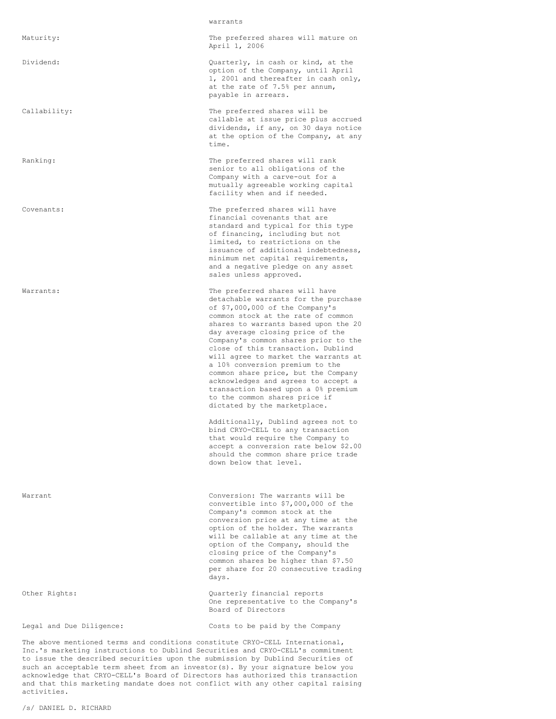#### warrants

Maturity: The preferred shares will mature on April 1, 2006

Dividend: Quarterly, in cash or kind, at the option of the Company, until April 1, 2001 and thereafter in cash only, at the rate of 7.5% per annum, payable in arrears.

Callability: The preferred shares will be callable at issue price plus accrued dividends, if any, on 30 days notice at the option of the Company, at any time.

Ranking: The preferred shares will rank senior to all obligations of the Company with a carve-out for a mutually agreeable working capital facility when and if needed.

Covenants: The preferred shares will have financial covenants that are standard and typical for this type of financing, including but not limited, to restrictions on the issuance of additional indebtedness, minimum net capital requirements, and a negative pledge on any asset sales unless approved.

Warrants: The preferred shares will have detachable warrants for the purchase of \$7,000,000 of the Company's common stock at the rate of common shares to warrants based upon the 20 day average closing price of the Company's common shares prior to the close of this transaction. Dublind will agree to market the warrants at a 10% conversion premium to the common share price, but the Company acknowledges and agrees to accept a transaction based upon a 0% premium to the common shares price if dictated by the marketplace.

> Additionally, Dublind agrees not to bind CRYO-CELL to any transaction that would require the Company to accept a conversion rate below \$2.00 should the common share price trade down below that level.

Warrant Conversion: The warrants will be convertible into \$7,000,000 of the Company's common stock at the conversion price at any time at the option of the holder. The warrants will be callable at any time at the option of the Company, should the closing price of the Company's common shares be higher than \$7.50 per share for 20 consecutive trading days.

Other Rights: Quarterly financial reports One representative to the Company's Board of Directors

Legal and Due Diligence: Costs to be paid by the Company

The above mentioned terms and conditions constitute CRYO-CELL International, Inc.'s marketing instructions to Dublind Securities and CRYO-CELL's commitment to issue the described securities upon the submission by Dublind Securities of such an acceptable term sheet from an investor(s). By your signature below you acknowledge that CRYO-CELL's Board of Directors has authorized this transaction and that this marketing mandate does not conflict with any other capital raising activities.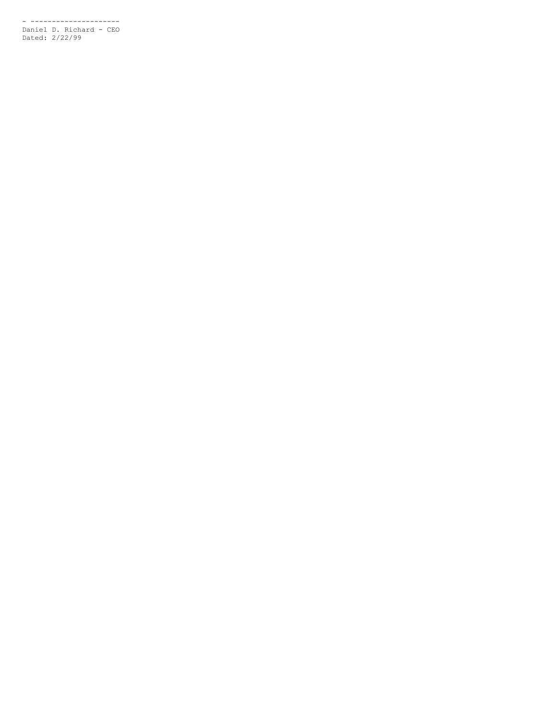- --------------------- Daniel D. Richard - CEO Dated: 2/22/99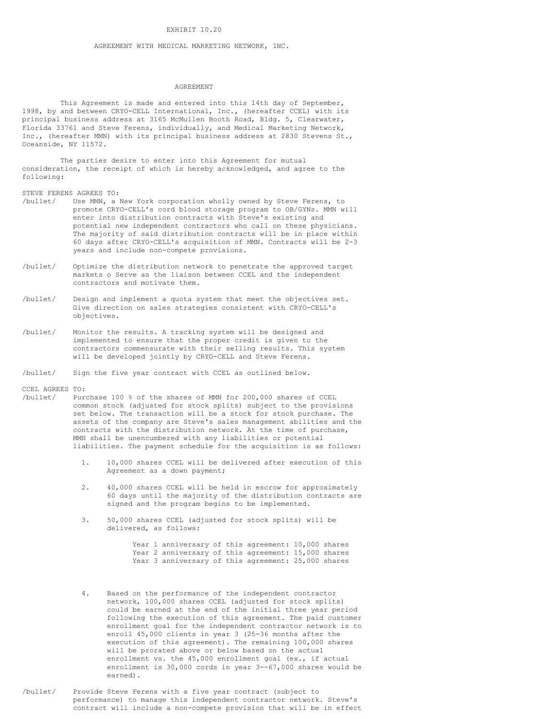## EXHIBIT 10.20

## AGREEMENT WITH MEDICAL MARKETING NETWORK, INC.

### AGREEMENT

This Agreement is made and entered into this 14th day of September, 1998, by and between CRYO-CELL International, Inc., (hereafter CCEL) with its principal business address at 3165 McMullen Booth Road, Bldg. 5, Clearwater, Florida 33761 and Steve Ferens, individually, and Medical Marketing Network, Inc., (hereafter MMN) with its principal business address at 2830 Stevens St., Oceanside, NY 11572.

The parties desire to enter into this Agreement for mutual consideration, the receipt of which is hereby acknowledged, and agree to the following:

STEVE FERENS AGREES TO:

- /bullet/ Use MMN, a New York corporation wholly owned by Steve Ferens, to promote CRYO-CELL's cord blood storage program to OB/GYNs. MMN will enter into distribution contracts with Steve's existing and potential new independent contractors who call on these physicians. The majority of said distribution contracts will be in place within 60 days after CRYO-CELL's acquisition of MMN. Contracts will be 2-3 years and include non-compete provisions.
- /bullet/ Optimize the distribution network to penetrate the approved target markets o Serve as the liaison between CCEL and the independent contractors and motivate them.
- /bullet/ Design and implement a quota system that meet the objectives set. Give direction on sales strategies consistent with CRYO-CELL's objectives.
- /bullet/ Monitor the results. A tracking system will be designed and implemented to ensure that the proper credit is given to the contractors commensurate with their selling results. This system will be developed jointly by CRYO-CELL and Steve Ferens.
- /bullet/ Sign the five year contract with CCEL as outlined below.

CCEL AGREES TO:

- /bullet/ Purchase 100 % of the shares of MMN for 200,000 shares of CCEL common stock (adjusted for stock splits) subject to the provisions set below. The transaction will be a stock for stock purchase. The assets of the company are Steve's sales management abilities and the contracts with the distribution network. At the time of purchase, MMN shall be unencumbered with any liabilities or potential liabilities. The payment schedule for the acquisition is as follows:
	- 1. 10,000 shares CCEL will be delivered after execution of this Agreement as a down payment;
	- 2. 40,000 shares CCEL will be held in escrow for approximately 60 days until the majority of the distribution contracts are signed and the program begins to be implemented.
	- 3. 50,000 shares CCEL (adjusted for stock splits) will be delivered, as follows:

Year 1 anniversary of this agreement: 10,000 shares Year 2 anniversary of this agreement: 15,000 shares Year 3 anniversary of this agreement: 25,000 shares

- 4. Based on the performance of the independent contractor network, 100,000 shares CCEL (adjusted for stock splits) could be earned at the end of the initial three year period following the execution of this agreement. The paid customer enrollment goal for the independent contractor network is to enroll 45,000 clients in year 3 (25-36 months after the execution of this agreement). The remaining 100,000 shares will be prorated above or below based on the actual enrollment vs. the 45,000 enrollment goal (ex., if actual enrollment is 30,000 cords in year 3--67,000 shares would be earned).
- /bullet/ Provide Steve Ferens with a five year contract (subject to performance) to manage this independent contractor network. Steve's contract will include a non-compete provision that will be in effect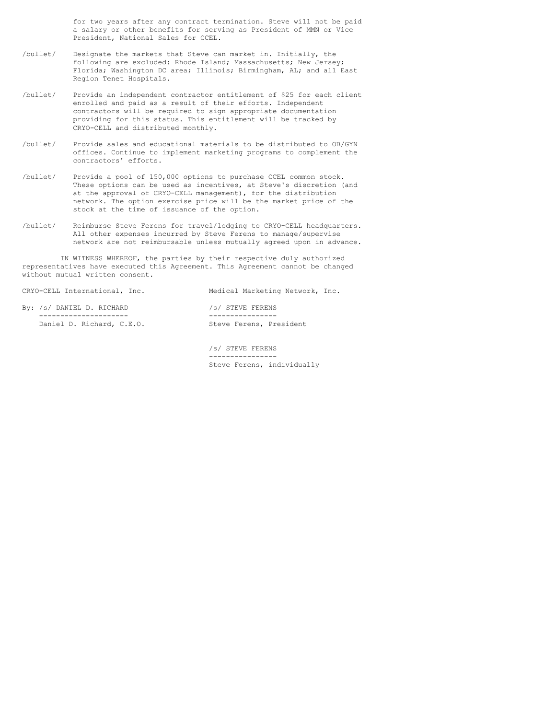for two years after any contract termination. Steve will not be paid a salary or other benefits for serving as President of MMN or Vice President, National Sales for CCEL.

- /bullet/ Designate the markets that Steve can market in. Initially, the following are excluded: Rhode Island; Massachusetts; New Jersey; Florida; Washington DC area; Illinois; Birmingham, AL; and all East Region Tenet Hospitals.
- /bullet/ Provide an independent contractor entitlement of \$25 for each client enrolled and paid as a result of their efforts. Independent contractors will be required to sign appropriate documentation providing for this status. This entitlement will be tracked by CRYO-CELL and distributed monthly.
- /bullet/ Provide sales and educational materials to be distributed to OB/GYN offices. Continue to implement marketing programs to complement the contractors' efforts.
- /bullet/ Provide a pool of 150,000 options to purchase CCEL common stock. These options can be used as incentives, at Steve's discretion (and at the approval of CRYO-CELL management), for the distribution network. The option exercise price will be the market price of the stock at the time of issuance of the option.
- /bullet/ Reimburse Steve Ferens for travel/lodging to CRYO-CELL headquarters. All other expenses incurred by Steve Ferens to manage/supervise network are not reimbursable unless mutually agreed upon in advance.

IN WITNESS WHEREOF, the parties by their respective duly authorized representatives have executed this Agreement. This Agreement cannot be changed without mutual written consent.

| CRYO-CELL International, Inc. | Medical Marketing Network, Inc. |
|-------------------------------|---------------------------------|
| By: /s/ DANIEL D. RICHARD     | /s/ STEVE FERENS                |
| Daniel D. Richard, C.E.O.     | Steve Ferens, President         |

/s/ STEVE FERENS ---------------- Steve Ferens, individually